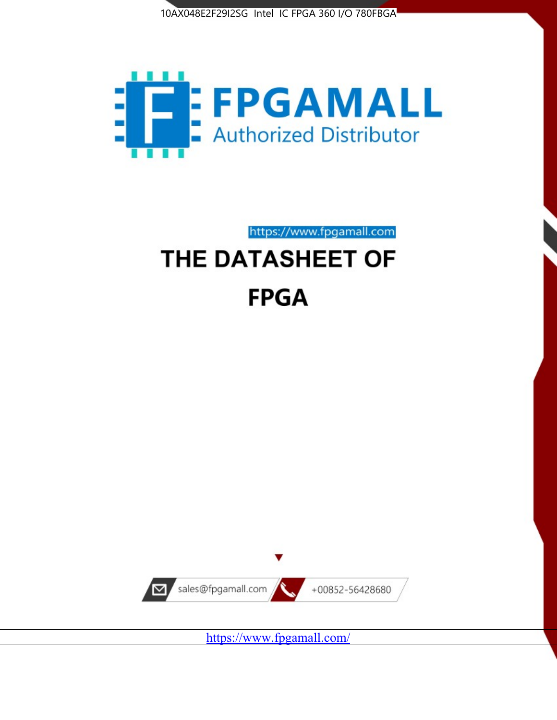



https://www.fpgamall.com

# THE DATASHEET OF **FPGA**



<https://www.fpgamall.com/>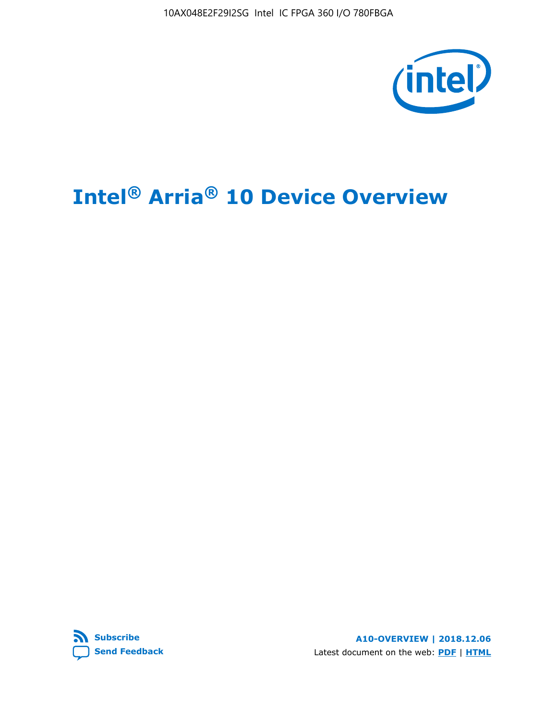10AX048E2F29I2SG Intel IC FPGA 360 I/O 780FBGA



# **Intel® Arria® 10 Device Overview**



**A10-OVERVIEW | 2018.12.06** Latest document on the web: **[PDF](https://www.intel.com/content/dam/www/programmable/us/en/pdfs/literature/hb/arria-10/a10_overview.pdf)** | **[HTML](https://www.intel.com/content/www/us/en/programmable/documentation/sam1403480274650.html)**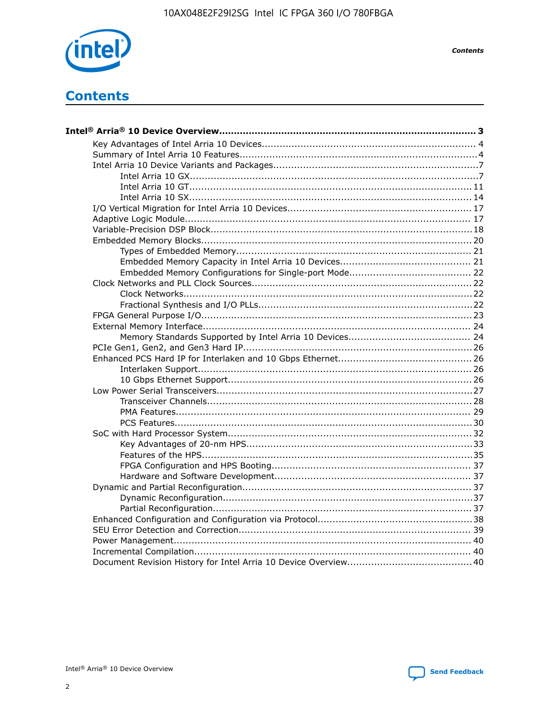

**Contents**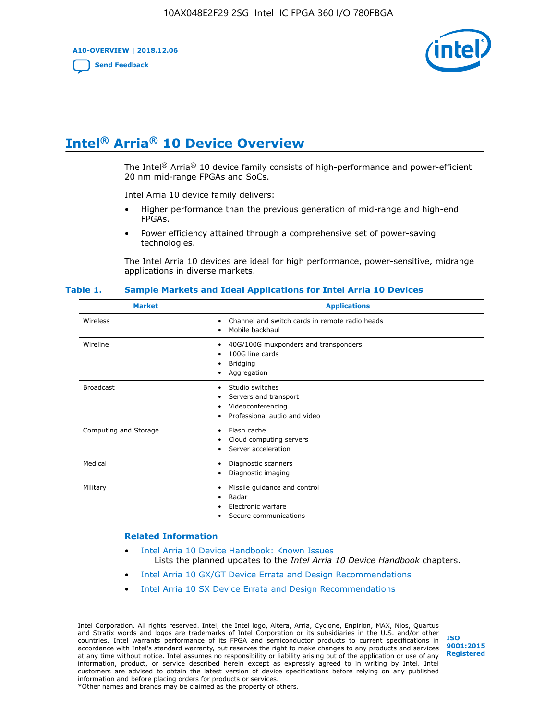**A10-OVERVIEW | 2018.12.06**

**[Send Feedback](mailto:FPGAtechdocfeedback@intel.com?subject=Feedback%20on%20Intel%20Arria%2010%20Device%20Overview%20(A10-OVERVIEW%202018.12.06)&body=We%20appreciate%20your%20feedback.%20In%20your%20comments,%20also%20specify%20the%20page%20number%20or%20paragraph.%20Thank%20you.)**



# **Intel® Arria® 10 Device Overview**

The Intel<sup>®</sup> Arria<sup>®</sup> 10 device family consists of high-performance and power-efficient 20 nm mid-range FPGAs and SoCs.

Intel Arria 10 device family delivers:

- Higher performance than the previous generation of mid-range and high-end FPGAs.
- Power efficiency attained through a comprehensive set of power-saving technologies.

The Intel Arria 10 devices are ideal for high performance, power-sensitive, midrange applications in diverse markets.

| <b>Market</b>         | <b>Applications</b>                                                                                               |
|-----------------------|-------------------------------------------------------------------------------------------------------------------|
| Wireless              | Channel and switch cards in remote radio heads<br>٠<br>Mobile backhaul<br>٠                                       |
| Wireline              | 40G/100G muxponders and transponders<br>٠<br>100G line cards<br>٠<br><b>Bridging</b><br>٠<br>Aggregation<br>٠     |
| <b>Broadcast</b>      | Studio switches<br>٠<br>Servers and transport<br>٠<br>Videoconferencing<br>٠<br>Professional audio and video<br>٠ |
| Computing and Storage | Flash cache<br>٠<br>Cloud computing servers<br>٠<br>Server acceleration<br>٠                                      |
| Medical               | Diagnostic scanners<br>٠<br>Diagnostic imaging<br>٠                                                               |
| Military              | Missile guidance and control<br>٠<br>Radar<br>٠<br>Electronic warfare<br>٠<br>Secure communications<br>٠          |

#### **Table 1. Sample Markets and Ideal Applications for Intel Arria 10 Devices**

#### **Related Information**

- [Intel Arria 10 Device Handbook: Known Issues](http://www.altera.com/support/kdb/solutions/rd07302013_646.html) Lists the planned updates to the *Intel Arria 10 Device Handbook* chapters.
- [Intel Arria 10 GX/GT Device Errata and Design Recommendations](https://www.intel.com/content/www/us/en/programmable/documentation/agz1493851706374.html#yqz1494433888646)
- [Intel Arria 10 SX Device Errata and Design Recommendations](https://www.intel.com/content/www/us/en/programmable/documentation/cru1462832385668.html#cru1462832558642)

Intel Corporation. All rights reserved. Intel, the Intel logo, Altera, Arria, Cyclone, Enpirion, MAX, Nios, Quartus and Stratix words and logos are trademarks of Intel Corporation or its subsidiaries in the U.S. and/or other countries. Intel warrants performance of its FPGA and semiconductor products to current specifications in accordance with Intel's standard warranty, but reserves the right to make changes to any products and services at any time without notice. Intel assumes no responsibility or liability arising out of the application or use of any information, product, or service described herein except as expressly agreed to in writing by Intel. Intel customers are advised to obtain the latest version of device specifications before relying on any published information and before placing orders for products or services. \*Other names and brands may be claimed as the property of others.

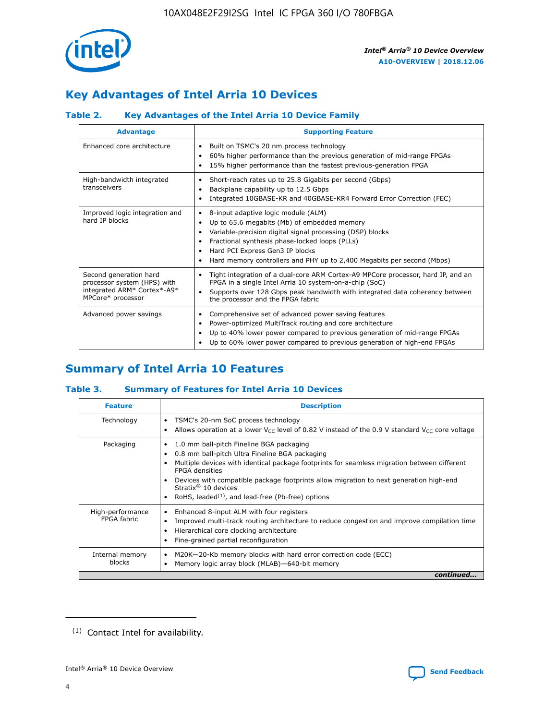

# **Key Advantages of Intel Arria 10 Devices**

# **Table 2. Key Advantages of the Intel Arria 10 Device Family**

| <b>Advantage</b>                                                                                          | <b>Supporting Feature</b>                                                                                                                                                                                                                                                                                                |
|-----------------------------------------------------------------------------------------------------------|--------------------------------------------------------------------------------------------------------------------------------------------------------------------------------------------------------------------------------------------------------------------------------------------------------------------------|
| Enhanced core architecture                                                                                | Built on TSMC's 20 nm process technology<br>٠<br>60% higher performance than the previous generation of mid-range FPGAs<br>٠<br>15% higher performance than the fastest previous-generation FPGA<br>٠                                                                                                                    |
| High-bandwidth integrated<br>transceivers                                                                 | Short-reach rates up to 25.8 Gigabits per second (Gbps)<br>٠<br>Backplane capability up to 12.5 Gbps<br>٠<br>Integrated 10GBASE-KR and 40GBASE-KR4 Forward Error Correction (FEC)<br>٠                                                                                                                                   |
| Improved logic integration and<br>hard IP blocks                                                          | 8-input adaptive logic module (ALM)<br>٠<br>Up to 65.6 megabits (Mb) of embedded memory<br>٠<br>Variable-precision digital signal processing (DSP) blocks<br>Fractional synthesis phase-locked loops (PLLs)<br>Hard PCI Express Gen3 IP blocks<br>Hard memory controllers and PHY up to 2,400 Megabits per second (Mbps) |
| Second generation hard<br>processor system (HPS) with<br>integrated ARM* Cortex*-A9*<br>MPCore* processor | Tight integration of a dual-core ARM Cortex-A9 MPCore processor, hard IP, and an<br>٠<br>FPGA in a single Intel Arria 10 system-on-a-chip (SoC)<br>Supports over 128 Gbps peak bandwidth with integrated data coherency between<br>$\bullet$<br>the processor and the FPGA fabric                                        |
| Advanced power savings                                                                                    | Comprehensive set of advanced power saving features<br>٠<br>Power-optimized MultiTrack routing and core architecture<br>٠<br>Up to 40% lower power compared to previous generation of mid-range FPGAs<br>Up to 60% lower power compared to previous generation of high-end FPGAs                                         |

# **Summary of Intel Arria 10 Features**

# **Table 3. Summary of Features for Intel Arria 10 Devices**

| <b>Feature</b>                  | <b>Description</b>                                                                                                                                                                                                                                                                                                                                                                                       |
|---------------------------------|----------------------------------------------------------------------------------------------------------------------------------------------------------------------------------------------------------------------------------------------------------------------------------------------------------------------------------------------------------------------------------------------------------|
| Technology                      | TSMC's 20-nm SoC process technology<br>٠<br>Allows operation at a lower $V_{\text{CC}}$ level of 0.82 V instead of the 0.9 V standard $V_{\text{CC}}$ core voltage                                                                                                                                                                                                                                       |
| Packaging                       | 1.0 mm ball-pitch Fineline BGA packaging<br>0.8 mm ball-pitch Ultra Fineline BGA packaging<br>Multiple devices with identical package footprints for seamless migration between different<br><b>FPGA</b> densities<br>Devices with compatible package footprints allow migration to next generation high-end<br>Stratix $\mathcal{R}$ 10 devices<br>RoHS, leaded $(1)$ , and lead-free (Pb-free) options |
| High-performance<br>FPGA fabric | Enhanced 8-input ALM with four registers<br>٠<br>Improved multi-track routing architecture to reduce congestion and improve compilation time<br>Hierarchical core clocking architecture<br>Fine-grained partial reconfiguration                                                                                                                                                                          |
| Internal memory<br>blocks       | M20K-20-Kb memory blocks with hard error correction code (ECC)<br>Memory logic array block (MLAB)-640-bit memory                                                                                                                                                                                                                                                                                         |
|                                 | continued                                                                                                                                                                                                                                                                                                                                                                                                |



<sup>(1)</sup> Contact Intel for availability.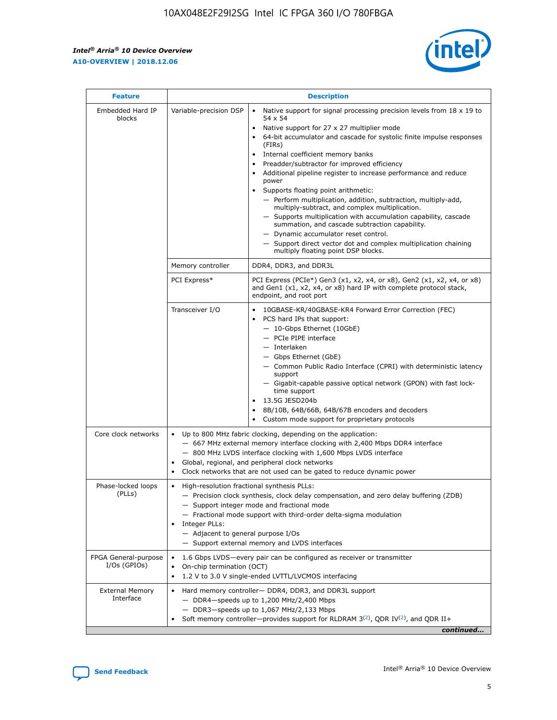$\mathsf{r}$ 



| <b>Feature</b>                         |                                                                                                                | <b>Description</b>                                                                                                                                                                                                                                                                                                                                                                                                                                                                                                                                                                                                                                                                                                                                                                                                                     |  |  |  |  |  |  |  |
|----------------------------------------|----------------------------------------------------------------------------------------------------------------|----------------------------------------------------------------------------------------------------------------------------------------------------------------------------------------------------------------------------------------------------------------------------------------------------------------------------------------------------------------------------------------------------------------------------------------------------------------------------------------------------------------------------------------------------------------------------------------------------------------------------------------------------------------------------------------------------------------------------------------------------------------------------------------------------------------------------------------|--|--|--|--|--|--|--|
| Embedded Hard IP<br>blocks             | Variable-precision DSP                                                                                         | Native support for signal processing precision levels from $18 \times 19$ to<br>54 x 54<br>Native support for 27 x 27 multiplier mode<br>64-bit accumulator and cascade for systolic finite impulse responses<br>(FIRs)<br>Internal coefficient memory banks<br>$\bullet$<br>Preadder/subtractor for improved efficiency<br>Additional pipeline register to increase performance and reduce<br>power<br>Supports floating point arithmetic:<br>- Perform multiplication, addition, subtraction, multiply-add,<br>multiply-subtract, and complex multiplication.<br>- Supports multiplication with accumulation capability, cascade<br>summation, and cascade subtraction capability.<br>- Dynamic accumulator reset control.<br>- Support direct vector dot and complex multiplication chaining<br>multiply floating point DSP blocks. |  |  |  |  |  |  |  |
|                                        | Memory controller                                                                                              | DDR4, DDR3, and DDR3L                                                                                                                                                                                                                                                                                                                                                                                                                                                                                                                                                                                                                                                                                                                                                                                                                  |  |  |  |  |  |  |  |
|                                        | PCI Express*                                                                                                   | PCI Express (PCIe*) Gen3 (x1, x2, x4, or x8), Gen2 (x1, x2, x4, or x8)<br>and Gen1 (x1, x2, x4, or x8) hard IP with complete protocol stack,<br>endpoint, and root port                                                                                                                                                                                                                                                                                                                                                                                                                                                                                                                                                                                                                                                                |  |  |  |  |  |  |  |
|                                        | Transceiver I/O                                                                                                | 10GBASE-KR/40GBASE-KR4 Forward Error Correction (FEC)<br>PCS hard IPs that support:<br>- 10-Gbps Ethernet (10GbE)<br>- PCIe PIPE interface<br>- Interlaken<br>- Gbps Ethernet (GbE)<br>- Common Public Radio Interface (CPRI) with deterministic latency<br>support<br>- Gigabit-capable passive optical network (GPON) with fast lock-<br>time support<br>13.5G JESD204b<br>8B/10B, 64B/66B, 64B/67B encoders and decoders<br>Custom mode support for proprietary protocols                                                                                                                                                                                                                                                                                                                                                           |  |  |  |  |  |  |  |
| Core clock networks                    | $\bullet$<br>$\bullet$                                                                                         | Up to 800 MHz fabric clocking, depending on the application:<br>- 667 MHz external memory interface clocking with 2,400 Mbps DDR4 interface<br>- 800 MHz LVDS interface clocking with 1,600 Mbps LVDS interface<br>Global, regional, and peripheral clock networks<br>Clock networks that are not used can be gated to reduce dynamic power                                                                                                                                                                                                                                                                                                                                                                                                                                                                                            |  |  |  |  |  |  |  |
| Phase-locked loops<br>(PLLs)           | High-resolution fractional synthesis PLLs:<br>$\bullet$<br>Integer PLLs:<br>- Adjacent to general purpose I/Os | - Precision clock synthesis, clock delay compensation, and zero delay buffering (ZDB)<br>- Support integer mode and fractional mode<br>- Fractional mode support with third-order delta-sigma modulation<br>- Support external memory and LVDS interfaces                                                                                                                                                                                                                                                                                                                                                                                                                                                                                                                                                                              |  |  |  |  |  |  |  |
| FPGA General-purpose<br>$I/Os$ (GPIOs) | $\bullet$<br>On-chip termination (OCT)                                                                         | 1.6 Gbps LVDS—every pair can be configured as receiver or transmitter<br>1.2 V to 3.0 V single-ended LVTTL/LVCMOS interfacing                                                                                                                                                                                                                                                                                                                                                                                                                                                                                                                                                                                                                                                                                                          |  |  |  |  |  |  |  |
| <b>External Memory</b><br>Interface    |                                                                                                                | Hard memory controller- DDR4, DDR3, and DDR3L support<br>- DDR4-speeds up to 1,200 MHz/2,400 Mbps<br>$-$ DDR3-speeds up to 1,067 MHz/2,133 Mbps<br>Soft memory controller—provides support for RLDRAM $3^{(2)}$ , QDR IV $(2^2)$ , and QDR II+<br>continued                                                                                                                                                                                                                                                                                                                                                                                                                                                                                                                                                                            |  |  |  |  |  |  |  |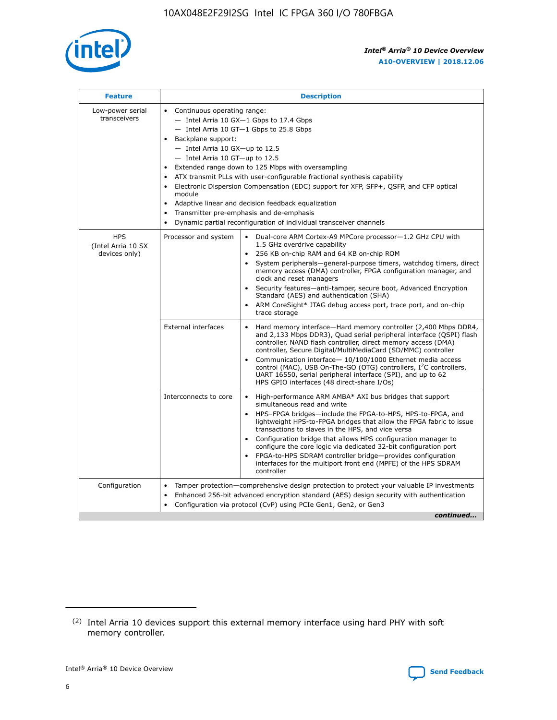

| <b>Feature</b>                                    | <b>Description</b>                                                                                                                                                                                                                                                                                                                                                                                                                                                                                                                                                                                                                                                        |
|---------------------------------------------------|---------------------------------------------------------------------------------------------------------------------------------------------------------------------------------------------------------------------------------------------------------------------------------------------------------------------------------------------------------------------------------------------------------------------------------------------------------------------------------------------------------------------------------------------------------------------------------------------------------------------------------------------------------------------------|
| Low-power serial<br>transceivers                  | • Continuous operating range:<br>- Intel Arria 10 GX-1 Gbps to 17.4 Gbps<br>$-$ Intel Arria 10 GT $-1$ Gbps to 25.8 Gbps<br>Backplane support:<br>$\bullet$<br>$-$ Intel Arria 10 GX-up to 12.5<br>$-$ Intel Arria 10 GT-up to 12.5<br>Extended range down to 125 Mbps with oversampling<br>ATX transmit PLLs with user-configurable fractional synthesis capability<br>Electronic Dispersion Compensation (EDC) support for XFP, SFP+, OSFP, and CFP optical<br>module<br>Adaptive linear and decision feedback equalization<br>$\bullet$<br>Transmitter pre-emphasis and de-emphasis<br>$\bullet$<br>Dynamic partial reconfiguration of individual transceiver channels |
| <b>HPS</b><br>(Intel Arria 10 SX<br>devices only) | Dual-core ARM Cortex-A9 MPCore processor-1.2 GHz CPU with<br>Processor and system<br>$\bullet$<br>1.5 GHz overdrive capability<br>256 KB on-chip RAM and 64 KB on-chip ROM<br>System peripherals-general-purpose timers, watchdog timers, direct<br>memory access (DMA) controller, FPGA configuration manager, and<br>clock and reset managers<br>• Security features—anti-tamper, secure boot, Advanced Encryption<br>Standard (AES) and authentication (SHA)<br>ARM CoreSight* JTAG debug access port, trace port, and on-chip<br>$\bullet$<br>trace storage                                                                                                           |
|                                                   | <b>External interfaces</b><br>Hard memory interface—Hard memory controller (2,400 Mbps DDR4,<br>and 2,133 Mbps DDR3), Quad serial peripheral interface (QSPI) flash<br>controller, NAND flash controller, direct memory access (DMA)<br>controller, Secure Digital/MultiMediaCard (SD/MMC) controller<br>Communication interface-10/100/1000 Ethernet media access<br>$\bullet$<br>control (MAC), USB On-The-GO (OTG) controllers, I <sup>2</sup> C controllers,<br>UART 16550, serial peripheral interface (SPI), and up to 62<br>HPS GPIO interfaces (48 direct-share I/Os)                                                                                             |
|                                                   | Interconnects to core<br>• High-performance ARM AMBA* AXI bus bridges that support<br>simultaneous read and write<br>HPS-FPGA bridges-include the FPGA-to-HPS, HPS-to-FPGA, and<br>$\bullet$<br>lightweight HPS-to-FPGA bridges that allow the FPGA fabric to issue<br>transactions to slaves in the HPS, and vice versa<br>Configuration bridge that allows HPS configuration manager to<br>configure the core logic via dedicated 32-bit configuration port<br>FPGA-to-HPS SDRAM controller bridge-provides configuration<br>interfaces for the multiport front end (MPFE) of the HPS SDRAM<br>controller                                                               |
| Configuration                                     | Tamper protection—comprehensive design protection to protect your valuable IP investments<br>Enhanced 256-bit advanced encryption standard (AES) design security with authentication<br>$\bullet$<br>Configuration via protocol (CvP) using PCIe Gen1, Gen2, or Gen3<br>continued                                                                                                                                                                                                                                                                                                                                                                                         |

<sup>(2)</sup> Intel Arria 10 devices support this external memory interface using hard PHY with soft memory controller.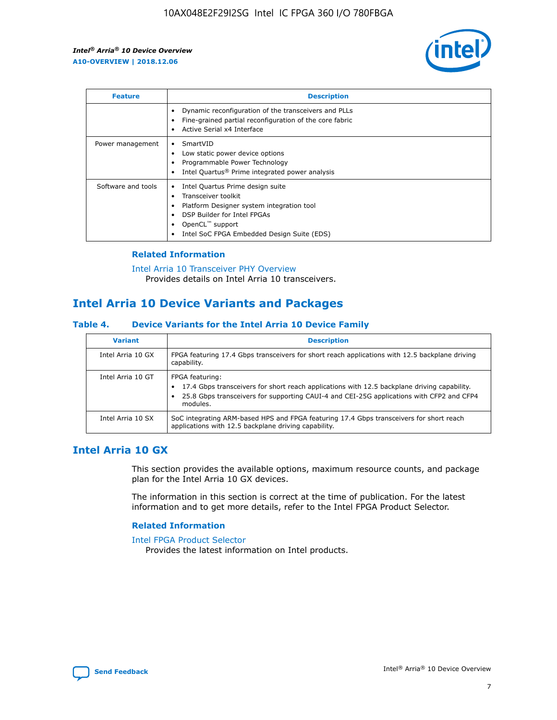

| <b>Feature</b>     | <b>Description</b>                                                                                                                                                                                               |
|--------------------|------------------------------------------------------------------------------------------------------------------------------------------------------------------------------------------------------------------|
|                    | Dynamic reconfiguration of the transceivers and PLLs<br>Fine-grained partial reconfiguration of the core fabric<br>Active Serial x4 Interface                                                                    |
| Power management   | SmartVID<br>Low static power device options<br>Programmable Power Technology<br>Intel Quartus <sup>®</sup> Prime integrated power analysis                                                                       |
| Software and tools | Intel Quartus Prime design suite<br>Transceiver toolkit<br>Platform Designer system integration tool<br>DSP Builder for Intel FPGAs<br>OpenCL <sup>™</sup> support<br>Intel SoC FPGA Embedded Design Suite (EDS) |

# **Related Information**

[Intel Arria 10 Transceiver PHY Overview](https://www.intel.com/content/www/us/en/programmable/documentation/nik1398707230472.html#nik1398706768037) Provides details on Intel Arria 10 transceivers.

# **Intel Arria 10 Device Variants and Packages**

#### **Table 4. Device Variants for the Intel Arria 10 Device Family**

| <b>Variant</b>    | <b>Description</b>                                                                                                                                                                                                     |
|-------------------|------------------------------------------------------------------------------------------------------------------------------------------------------------------------------------------------------------------------|
| Intel Arria 10 GX | FPGA featuring 17.4 Gbps transceivers for short reach applications with 12.5 backplane driving<br>capability.                                                                                                          |
| Intel Arria 10 GT | FPGA featuring:<br>17.4 Gbps transceivers for short reach applications with 12.5 backplane driving capability.<br>25.8 Gbps transceivers for supporting CAUI-4 and CEI-25G applications with CFP2 and CFP4<br>modules. |
| Intel Arria 10 SX | SoC integrating ARM-based HPS and FPGA featuring 17.4 Gbps transceivers for short reach<br>applications with 12.5 backplane driving capability.                                                                        |

# **Intel Arria 10 GX**

This section provides the available options, maximum resource counts, and package plan for the Intel Arria 10 GX devices.

The information in this section is correct at the time of publication. For the latest information and to get more details, refer to the Intel FPGA Product Selector.

#### **Related Information**

#### [Intel FPGA Product Selector](http://www.altera.com/products/selector/psg-selector.html) Provides the latest information on Intel products.

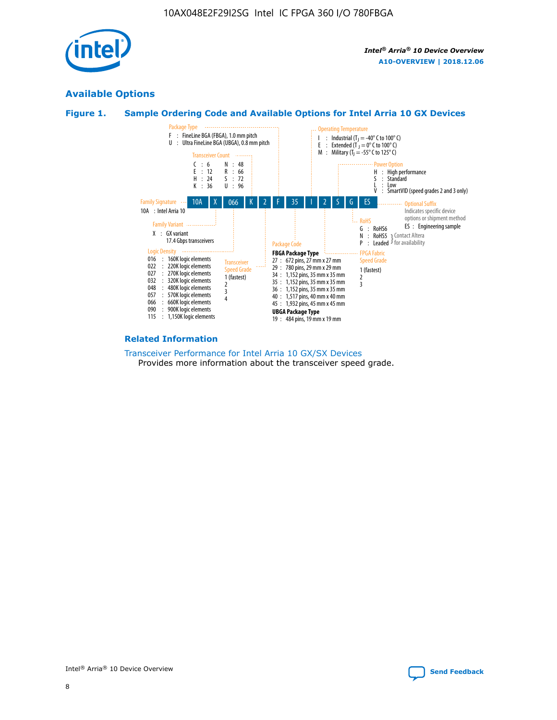

# **Available Options**





#### **Related Information**

#### [Transceiver Performance for Intel Arria 10 GX/SX Devices](https://www.intel.com/content/www/us/en/programmable/documentation/mcn1413182292568.html#mcn1413213965502) Provides more information about the transceiver speed grade.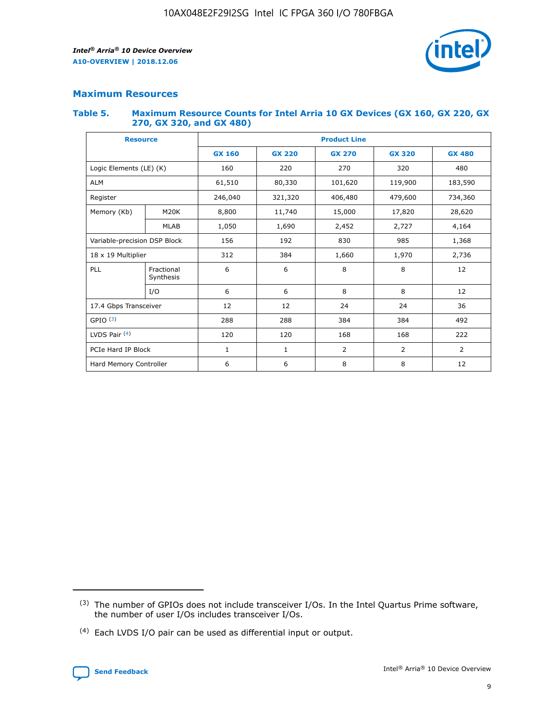

# **Maximum Resources**

#### **Table 5. Maximum Resource Counts for Intel Arria 10 GX Devices (GX 160, GX 220, GX 270, GX 320, and GX 480)**

| <b>Resource</b>         |                                                   | <b>Product Line</b> |               |                    |                |                |  |  |  |
|-------------------------|---------------------------------------------------|---------------------|---------------|--------------------|----------------|----------------|--|--|--|
|                         |                                                   | <b>GX 160</b>       | <b>GX 220</b> | <b>GX 270</b>      | <b>GX 320</b>  | <b>GX 480</b>  |  |  |  |
| Logic Elements (LE) (K) |                                                   | 160                 | 220           | 270                | 320            | 480            |  |  |  |
| <b>ALM</b>              |                                                   | 61,510              | 80,330        | 101,620            | 119,900        | 183,590        |  |  |  |
| Register                |                                                   | 246,040             | 321,320       | 406,480<br>479,600 |                | 734,360        |  |  |  |
| Memory (Kb)             | M <sub>20</sub> K                                 | 8,800               | 11,740        | 15,000             | 17,820         | 28,620         |  |  |  |
| <b>MLAB</b>             |                                                   | 1,050               | 1,690         | 2,452              | 2,727          | 4,164          |  |  |  |
|                         | Variable-precision DSP Block<br>156<br>192<br>830 |                     |               |                    | 985            | 1,368          |  |  |  |
| 18 x 19 Multiplier      |                                                   | 312                 | 384           | 1,660<br>1,970     |                | 2,736          |  |  |  |
| PLL                     | Fractional<br>Synthesis                           | 6                   | 6             | 8                  | 8              | 12             |  |  |  |
|                         | I/O                                               | 6                   | 6             | 8                  | 8              | 12             |  |  |  |
| 17.4 Gbps Transceiver   |                                                   | 12                  | 12            | 24                 | 24             | 36             |  |  |  |
| GPIO <sup>(3)</sup>     |                                                   | 288                 | 288<br>384    |                    | 384            | 492            |  |  |  |
| LVDS Pair $(4)$         |                                                   | 120                 | 120           | 168<br>168         |                | 222            |  |  |  |
| PCIe Hard IP Block      |                                                   | $\mathbf{1}$        | 1             | $\overline{2}$     | $\overline{2}$ | $\overline{2}$ |  |  |  |
| Hard Memory Controller  |                                                   | 6                   | 6             | 8                  | 8              | 12             |  |  |  |

<sup>(4)</sup> Each LVDS I/O pair can be used as differential input or output.



<sup>(3)</sup> The number of GPIOs does not include transceiver I/Os. In the Intel Quartus Prime software, the number of user I/Os includes transceiver I/Os.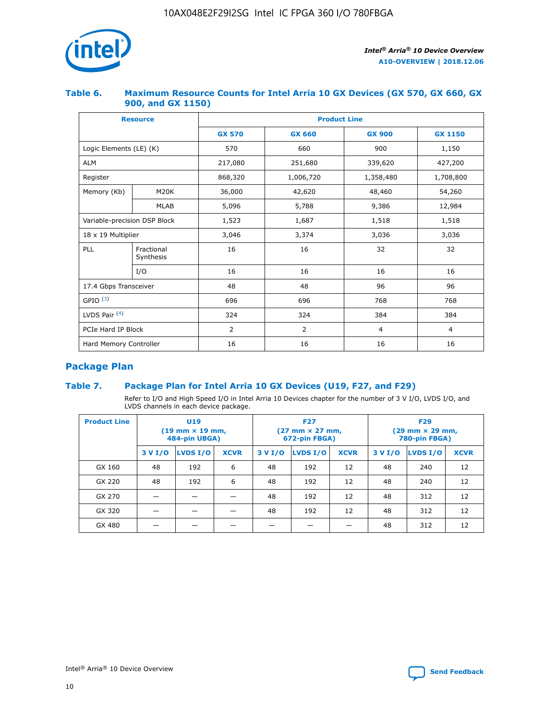

# **Table 6. Maximum Resource Counts for Intel Arria 10 GX Devices (GX 570, GX 660, GX 900, and GX 1150)**

|                              | <b>Resource</b>         | <b>Product Line</b> |                |                |                |  |  |  |
|------------------------------|-------------------------|---------------------|----------------|----------------|----------------|--|--|--|
|                              |                         | <b>GX 570</b>       | <b>GX 660</b>  | <b>GX 900</b>  | <b>GX 1150</b> |  |  |  |
| Logic Elements (LE) (K)      |                         | 570                 | 660            | 900            | 1,150          |  |  |  |
| <b>ALM</b>                   |                         | 217,080             | 251,680        | 339,620        | 427,200        |  |  |  |
| Register                     |                         | 868,320             | 1,006,720      | 1,358,480      | 1,708,800      |  |  |  |
| Memory (Kb)                  | <b>M20K</b>             | 36,000              | 42,620         | 48,460         | 54,260         |  |  |  |
| <b>MLAB</b>                  |                         | 5,096               | 5,788          | 9,386          | 12,984         |  |  |  |
| Variable-precision DSP Block |                         | 1,523               | 1,687          | 1,518          | 1,518          |  |  |  |
| $18 \times 19$ Multiplier    |                         | 3,046               | 3,374          | 3,036          | 3,036          |  |  |  |
| PLL                          | Fractional<br>Synthesis | 16                  | 16             | 32             | 32             |  |  |  |
|                              | I/O                     | 16                  | 16             | 16             | 16             |  |  |  |
| 17.4 Gbps Transceiver        |                         | 48                  | 48             | 96             | 96             |  |  |  |
| GPIO <sup>(3)</sup>          |                         | 696                 | 696            | 768            | 768            |  |  |  |
| LVDS Pair $(4)$              |                         | 324                 | 324            | 384            | 384            |  |  |  |
| PCIe Hard IP Block           |                         | $\overline{2}$      | $\overline{2}$ | $\overline{4}$ | $\overline{4}$ |  |  |  |
| Hard Memory Controller       |                         | 16                  | 16             | 16             | 16             |  |  |  |

# **Package Plan**

# **Table 7. Package Plan for Intel Arria 10 GX Devices (U19, F27, and F29)**

Refer to I/O and High Speed I/O in Intel Arria 10 Devices chapter for the number of 3 V I/O, LVDS I/O, and LVDS channels in each device package.

| <b>Product Line</b> |         | <b>U19</b><br>$(19 \text{ mm} \times 19 \text{ mm})$<br>484-pin UBGA) |             | <b>F27</b><br>(27 mm × 27 mm,<br>672-pin FBGA) |          |             | <b>F29</b><br>(29 mm × 29 mm,<br>780-pin FBGA) |          |             |  |
|---------------------|---------|-----------------------------------------------------------------------|-------------|------------------------------------------------|----------|-------------|------------------------------------------------|----------|-------------|--|
|                     | 3 V I/O | LVDS I/O                                                              | <b>XCVR</b> | 3 V I/O                                        | LVDS I/O | <b>XCVR</b> | 3 V I/O                                        | LVDS I/O | <b>XCVR</b> |  |
| GX 160              | 48      | 192                                                                   | 6           | 48                                             | 192      | 12          | 48                                             | 240      | 12          |  |
| GX 220              | 48      | 192                                                                   | 6           | 48                                             | 192      | 12          | 48                                             | 240      | 12          |  |
| GX 270              |         |                                                                       |             | 48                                             | 192      | 12          | 48                                             | 312      | 12          |  |
| GX 320              |         |                                                                       |             | 48                                             | 192      | 12          | 48                                             | 312      | 12          |  |
| GX 480              |         |                                                                       |             |                                                |          |             | 48                                             | 312      | 12          |  |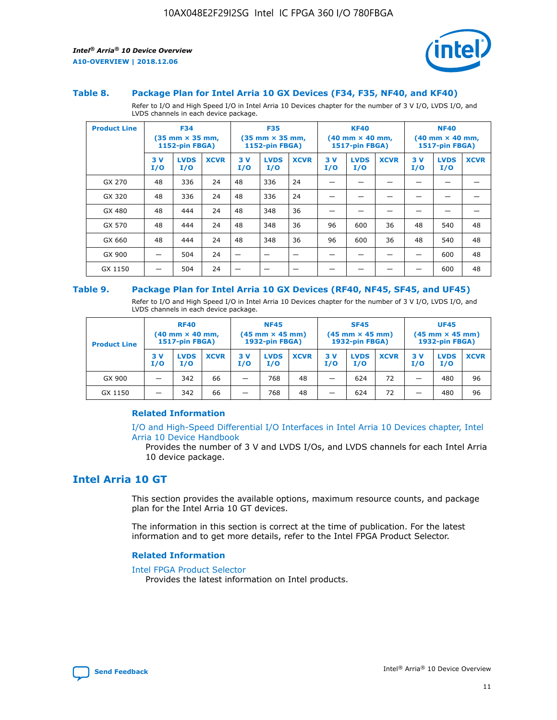

#### **Table 8. Package Plan for Intel Arria 10 GX Devices (F34, F35, NF40, and KF40)**

Refer to I/O and High Speed I/O in Intel Arria 10 Devices chapter for the number of 3 V I/O, LVDS I/O, and LVDS channels in each device package.

| <b>Product Line</b> |           | <b>F34</b><br>(35 mm × 35 mm,<br><b>1152-pin FBGA)</b> |             |           | <b>F35</b><br>$(35$ mm $\times$ 35 mm,<br><b>1152-pin FBGA)</b> |             | <b>KF40</b><br>$(40 \text{ mm} \times 40 \text{ mm})$<br>1517-pin FBGA) |                    |             | <b>NF40</b><br>$(40 \text{ mm} \times 40 \text{ mm})$<br><b>1517-pin FBGA)</b> |                    |             |
|---------------------|-----------|--------------------------------------------------------|-------------|-----------|-----------------------------------------------------------------|-------------|-------------------------------------------------------------------------|--------------------|-------------|--------------------------------------------------------------------------------|--------------------|-------------|
|                     | 3V<br>I/O | <b>LVDS</b><br>I/O                                     | <b>XCVR</b> | 3V<br>I/O | <b>LVDS</b><br>I/O                                              | <b>XCVR</b> | 3V<br>I/O                                                               | <b>LVDS</b><br>I/O | <b>XCVR</b> | 3V<br>I/O                                                                      | <b>LVDS</b><br>I/O | <b>XCVR</b> |
| GX 270              | 48        | 336                                                    | 24          | 48        | 336                                                             | 24          |                                                                         |                    |             |                                                                                |                    |             |
| GX 320              | 48        | 336                                                    | 24          | 48        | 336                                                             | 24          |                                                                         |                    |             |                                                                                |                    |             |
| GX 480              | 48        | 444                                                    | 24          | 48        | 348                                                             | 36          |                                                                         |                    |             |                                                                                |                    |             |
| GX 570              | 48        | 444                                                    | 24          | 48        | 348                                                             | 36          | 96                                                                      | 600                | 36          | 48                                                                             | 540                | 48          |
| GX 660              | 48        | 444                                                    | 24          | 48        | 348                                                             | 36          | 96                                                                      | 600                | 36          | 48                                                                             | 540                | 48          |
| GX 900              |           | 504                                                    | 24          | -         |                                                                 | -           |                                                                         |                    |             |                                                                                | 600                | 48          |
| GX 1150             |           | 504                                                    | 24          |           |                                                                 |             |                                                                         |                    |             |                                                                                | 600                | 48          |

#### **Table 9. Package Plan for Intel Arria 10 GX Devices (RF40, NF45, SF45, and UF45)**

Refer to I/O and High Speed I/O in Intel Arria 10 Devices chapter for the number of 3 V I/O, LVDS I/O, and LVDS channels in each device package.

| <b>Product Line</b> | <b>RF40</b><br>$(40$ mm $\times$ 40 mm,<br>1517-pin FBGA) |                    |             | <b>NF45</b><br>$(45 \text{ mm} \times 45 \text{ mm})$<br><b>1932-pin FBGA)</b> |                    |             | <b>SF45</b><br>$(45 \text{ mm} \times 45 \text{ mm})$<br><b>1932-pin FBGA)</b> |                    |             | <b>UF45</b><br>$(45 \text{ mm} \times 45 \text{ mm})$<br><b>1932-pin FBGA)</b> |                    |             |
|---------------------|-----------------------------------------------------------|--------------------|-------------|--------------------------------------------------------------------------------|--------------------|-------------|--------------------------------------------------------------------------------|--------------------|-------------|--------------------------------------------------------------------------------|--------------------|-------------|
|                     | 3V<br>I/O                                                 | <b>LVDS</b><br>I/O | <b>XCVR</b> | 3 V<br>I/O                                                                     | <b>LVDS</b><br>I/O | <b>XCVR</b> | 3 V<br>I/O                                                                     | <b>LVDS</b><br>I/O | <b>XCVR</b> | 3V<br>I/O                                                                      | <b>LVDS</b><br>I/O | <b>XCVR</b> |
| GX 900              |                                                           | 342                | 66          | _                                                                              | 768                | 48          |                                                                                | 624                | 72          |                                                                                | 480                | 96          |
| GX 1150             |                                                           | 342                | 66          | _                                                                              | 768                | 48          |                                                                                | 624                | 72          |                                                                                | 480                | 96          |

## **Related Information**

[I/O and High-Speed Differential I/O Interfaces in Intel Arria 10 Devices chapter, Intel](https://www.intel.com/content/www/us/en/programmable/documentation/sam1403482614086.html#sam1403482030321) [Arria 10 Device Handbook](https://www.intel.com/content/www/us/en/programmable/documentation/sam1403482614086.html#sam1403482030321)

Provides the number of 3 V and LVDS I/Os, and LVDS channels for each Intel Arria 10 device package.

# **Intel Arria 10 GT**

This section provides the available options, maximum resource counts, and package plan for the Intel Arria 10 GT devices.

The information in this section is correct at the time of publication. For the latest information and to get more details, refer to the Intel FPGA Product Selector.

#### **Related Information**

#### [Intel FPGA Product Selector](http://www.altera.com/products/selector/psg-selector.html)

Provides the latest information on Intel products.

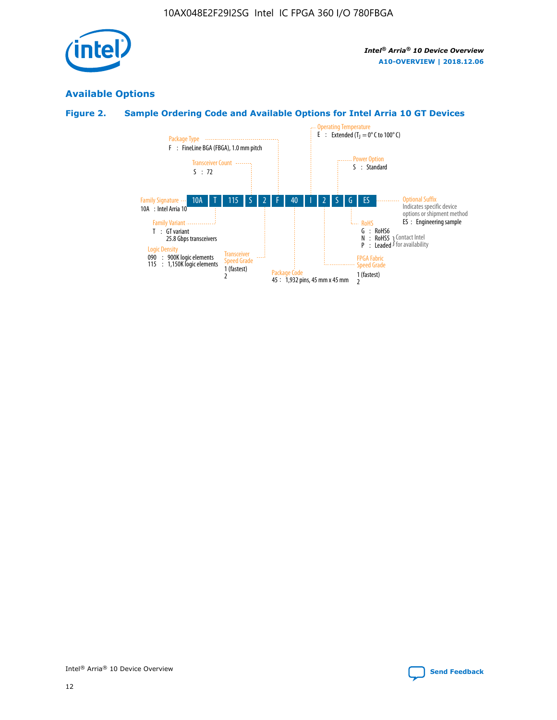

# **Available Options**

# **Figure 2. Sample Ordering Code and Available Options for Intel Arria 10 GT Devices**

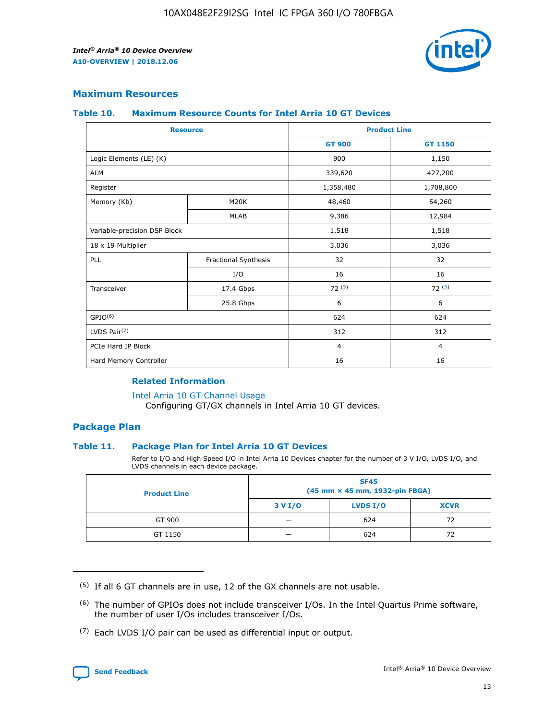

# **Maximum Resources**

#### **Table 10. Maximum Resource Counts for Intel Arria 10 GT Devices**

| <b>Resource</b>              |                      | <b>Product Line</b> |                |  |
|------------------------------|----------------------|---------------------|----------------|--|
|                              |                      | <b>GT 900</b>       | <b>GT 1150</b> |  |
| Logic Elements (LE) (K)      |                      | 900                 | 1,150          |  |
| <b>ALM</b>                   |                      | 339,620             | 427,200        |  |
| Register                     |                      | 1,358,480           | 1,708,800      |  |
| Memory (Kb)                  | M20K                 | 48,460              | 54,260         |  |
|                              | <b>MLAB</b>          | 9,386               | 12,984         |  |
| Variable-precision DSP Block |                      | 1,518               | 1,518          |  |
| 18 x 19 Multiplier           |                      | 3,036               | 3,036          |  |
| PLL                          | Fractional Synthesis | 32                  | 32             |  |
|                              | I/O                  | 16                  | 16             |  |
| Transceiver                  | 17.4 Gbps            | 72(5)               | 72(5)          |  |
|                              | 25.8 Gbps            | 6                   | 6              |  |
| GPIO <sup>(6)</sup>          |                      | 624                 | 624            |  |
| LVDS Pair $(7)$              |                      | 312                 | 312            |  |
| PCIe Hard IP Block           |                      | $\overline{4}$      | $\overline{4}$ |  |
| Hard Memory Controller       |                      | 16                  | 16             |  |

## **Related Information**

#### [Intel Arria 10 GT Channel Usage](https://www.intel.com/content/www/us/en/programmable/documentation/nik1398707230472.html#nik1398707008178)

Configuring GT/GX channels in Intel Arria 10 GT devices.

# **Package Plan**

## **Table 11. Package Plan for Intel Arria 10 GT Devices**

Refer to I/O and High Speed I/O in Intel Arria 10 Devices chapter for the number of 3 V I/O, LVDS I/O, and LVDS channels in each device package.

| <b>Product Line</b> | <b>SF45</b><br>(45 mm × 45 mm, 1932-pin FBGA) |                 |             |  |  |  |
|---------------------|-----------------------------------------------|-----------------|-------------|--|--|--|
|                     | 3 V I/O                                       | <b>LVDS I/O</b> | <b>XCVR</b> |  |  |  |
| GT 900              |                                               | 624             | 72          |  |  |  |
| GT 1150             |                                               | 624             | 72          |  |  |  |

<sup>(7)</sup> Each LVDS I/O pair can be used as differential input or output.



 $(5)$  If all 6 GT channels are in use, 12 of the GX channels are not usable.

<sup>(6)</sup> The number of GPIOs does not include transceiver I/Os. In the Intel Quartus Prime software, the number of user I/Os includes transceiver I/Os.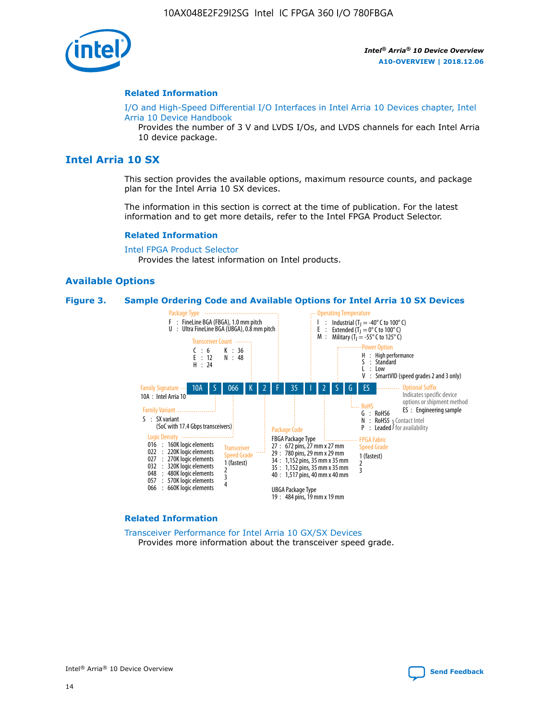

#### **Related Information**

[I/O and High-Speed Differential I/O Interfaces in Intel Arria 10 Devices chapter, Intel](https://www.intel.com/content/www/us/en/programmable/documentation/sam1403482614086.html#sam1403482030321) [Arria 10 Device Handbook](https://www.intel.com/content/www/us/en/programmable/documentation/sam1403482614086.html#sam1403482030321)

Provides the number of 3 V and LVDS I/Os, and LVDS channels for each Intel Arria 10 device package.

# **Intel Arria 10 SX**

This section provides the available options, maximum resource counts, and package plan for the Intel Arria 10 SX devices.

The information in this section is correct at the time of publication. For the latest information and to get more details, refer to the Intel FPGA Product Selector.

#### **Related Information**

[Intel FPGA Product Selector](http://www.altera.com/products/selector/psg-selector.html) Provides the latest information on Intel products.

## **Available Options**

#### **Figure 3. Sample Ordering Code and Available Options for Intel Arria 10 SX Devices**



#### **Related Information**

[Transceiver Performance for Intel Arria 10 GX/SX Devices](https://www.intel.com/content/www/us/en/programmable/documentation/mcn1413182292568.html#mcn1413213965502) Provides more information about the transceiver speed grade.

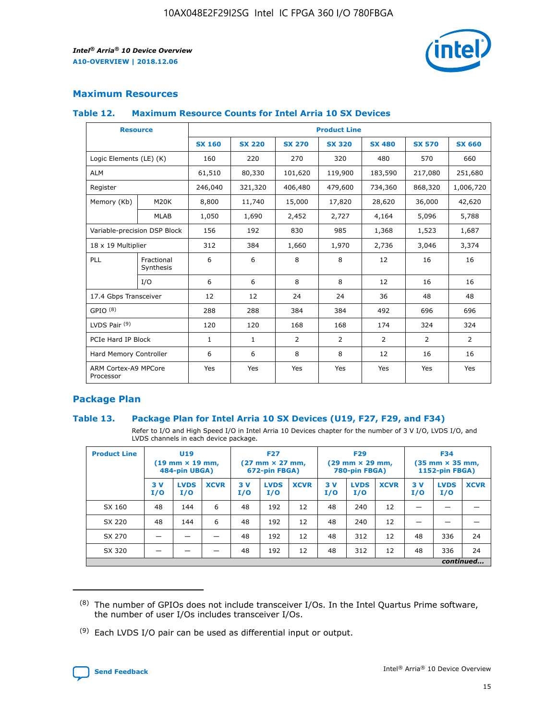

# **Maximum Resources**

#### **Table 12. Maximum Resource Counts for Intel Arria 10 SX Devices**

|                                   | <b>Resource</b>         | <b>Product Line</b> |               |                |                |                |                |                |  |  |  |
|-----------------------------------|-------------------------|---------------------|---------------|----------------|----------------|----------------|----------------|----------------|--|--|--|
|                                   |                         | <b>SX 160</b>       | <b>SX 220</b> | <b>SX 270</b>  | <b>SX 320</b>  | <b>SX 480</b>  | <b>SX 570</b>  | <b>SX 660</b>  |  |  |  |
| Logic Elements (LE) (K)           |                         | 160                 | 220           | 270            | 320            | 480            | 570            | 660            |  |  |  |
| <b>ALM</b>                        |                         | 61,510              | 80,330        | 101,620        | 119,900        | 183,590        | 217,080        | 251,680        |  |  |  |
| Register                          |                         | 246,040             | 321,320       | 406,480        | 479,600        | 734,360        | 868,320        | 1,006,720      |  |  |  |
| Memory (Kb)                       | <b>M20K</b>             | 8,800               | 11,740        | 15,000         | 17,820         | 28,620         | 36,000         | 42,620         |  |  |  |
|                                   | <b>MLAB</b>             | 1,050               | 1,690         | 2,452          | 2,727          | 4,164          | 5,096          | 5,788          |  |  |  |
| Variable-precision DSP Block      |                         | 156                 | 192           | 830            | 985            | 1,368          | 1,523          | 1,687          |  |  |  |
| 18 x 19 Multiplier                |                         | 312                 | 384           | 1,660          | 1,970          | 2,736          | 3,046          | 3,374          |  |  |  |
| <b>PLL</b>                        | Fractional<br>Synthesis | 6                   | 6             | 8              | 8              | 12             | 16             | 16             |  |  |  |
|                                   | I/O                     | 6                   | 6             | 8              | 8              | 12             | 16             | 16             |  |  |  |
| 17.4 Gbps Transceiver             |                         | 12                  | 12            | 24             | 24             | 36             | 48             | 48             |  |  |  |
| GPIO <sup>(8)</sup>               |                         | 288                 | 288           | 384            | 384            | 492            | 696            | 696            |  |  |  |
| LVDS Pair $(9)$                   |                         | 120                 | 120           | 168            | 168            | 174            | 324            | 324            |  |  |  |
| PCIe Hard IP Block                |                         | $\mathbf{1}$        | $\mathbf{1}$  | $\overline{2}$ | $\overline{2}$ | $\overline{2}$ | $\overline{2}$ | $\overline{2}$ |  |  |  |
| Hard Memory Controller            |                         | 6                   | 6             | 8              | 8              | 12             | 16             | 16             |  |  |  |
| ARM Cortex-A9 MPCore<br>Processor |                         | Yes                 | Yes           | Yes            | Yes            | Yes            | Yes            | Yes            |  |  |  |

# **Package Plan**

## **Table 13. Package Plan for Intel Arria 10 SX Devices (U19, F27, F29, and F34)**

Refer to I/O and High Speed I/O in Intel Arria 10 Devices chapter for the number of 3 V I/O, LVDS I/O, and LVDS channels in each device package.

| <b>Product Line</b> | U19<br>$(19 \text{ mm} \times 19 \text{ mm})$ .<br>484-pin UBGA) |                    |             | <b>F27</b><br>$(27 \text{ mm} \times 27 \text{ mm})$<br>672-pin FBGA) |                    | <b>F29</b><br>$(29 \text{ mm} \times 29 \text{ mm})$<br>780-pin FBGA) |           |                    | <b>F34</b><br>$(35 \text{ mm} \times 35 \text{ mm})$<br><b>1152-pin FBGA)</b> |           |                    |             |
|---------------------|------------------------------------------------------------------|--------------------|-------------|-----------------------------------------------------------------------|--------------------|-----------------------------------------------------------------------|-----------|--------------------|-------------------------------------------------------------------------------|-----------|--------------------|-------------|
|                     | 3V<br>I/O                                                        | <b>LVDS</b><br>I/O | <b>XCVR</b> | 3V<br>I/O                                                             | <b>LVDS</b><br>I/O | <b>XCVR</b>                                                           | 3V<br>I/O | <b>LVDS</b><br>I/O | <b>XCVR</b>                                                                   | 3V<br>I/O | <b>LVDS</b><br>I/O | <b>XCVR</b> |
| SX 160              | 48                                                               | 144                | 6           | 48                                                                    | 192                | 12                                                                    | 48        | 240                | 12                                                                            |           |                    |             |
| SX 220              | 48                                                               | 144                | 6           | 48                                                                    | 192                | 12                                                                    | 48        | 240                | 12                                                                            |           |                    |             |
| SX 270              |                                                                  |                    |             | 48                                                                    | 192                | 12                                                                    | 48        | 312                | 12                                                                            | 48        | 336                | 24          |
| SX 320              |                                                                  |                    |             | 48                                                                    | 192                | 12                                                                    | 48        | 312                | 12                                                                            | 48        | 336                | 24          |
|                     | continued                                                        |                    |             |                                                                       |                    |                                                                       |           |                    |                                                                               |           |                    |             |

 $(8)$  The number of GPIOs does not include transceiver I/Os. In the Intel Quartus Prime software, the number of user I/Os includes transceiver I/Os.

 $(9)$  Each LVDS I/O pair can be used as differential input or output.

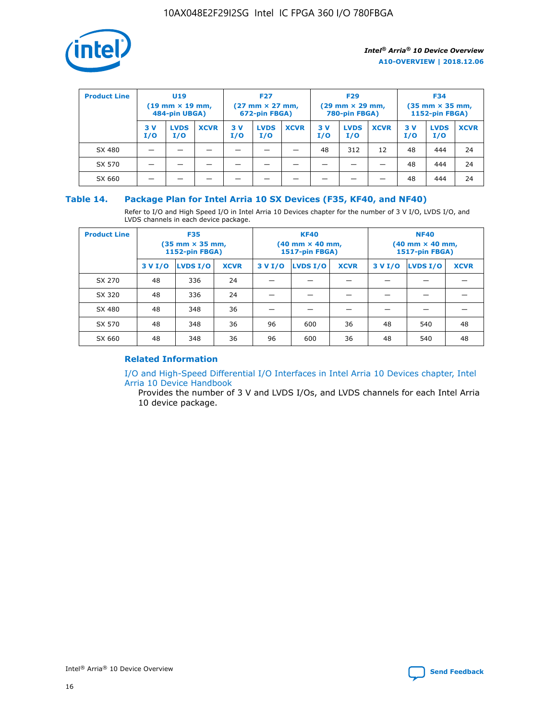

| <b>Product Line</b> | U <sub>19</sub><br>$(19 \text{ mm} \times 19 \text{ mm})$<br>484-pin UBGA) |                    | <b>F27</b><br>$(27 \text{ mm} \times 27 \text{ mm})$<br>672-pin FBGA) |           | <b>F29</b><br>$(29 \text{ mm} \times 29 \text{ mm})$<br>780-pin FBGA) |             |           | <b>F34</b><br>$(35$ mm $\times$ 35 mm,<br><b>1152-pin FBGA)</b> |             |           |                    |             |
|---------------------|----------------------------------------------------------------------------|--------------------|-----------------------------------------------------------------------|-----------|-----------------------------------------------------------------------|-------------|-----------|-----------------------------------------------------------------|-------------|-----------|--------------------|-------------|
|                     | 3V<br>I/O                                                                  | <b>LVDS</b><br>I/O | <b>XCVR</b>                                                           | 3V<br>I/O | <b>LVDS</b><br>I/O                                                    | <b>XCVR</b> | 3V<br>I/O | <b>LVDS</b><br>I/O                                              | <b>XCVR</b> | 3V<br>I/O | <b>LVDS</b><br>I/O | <b>XCVR</b> |
| SX 480              |                                                                            |                    |                                                                       |           |                                                                       |             | 48        | 312                                                             | 12          | 48        | 444                | 24          |
| SX 570              |                                                                            |                    |                                                                       |           |                                                                       |             |           |                                                                 |             | 48        | 444                | 24          |
| SX 660              |                                                                            |                    |                                                                       |           |                                                                       |             |           |                                                                 |             | 48        | 444                | 24          |

# **Table 14. Package Plan for Intel Arria 10 SX Devices (F35, KF40, and NF40)**

Refer to I/O and High Speed I/O in Intel Arria 10 Devices chapter for the number of 3 V I/O, LVDS I/O, and LVDS channels in each device package.

| <b>Product Line</b> | <b>F35</b><br>(35 mm × 35 mm,<br><b>1152-pin FBGA)</b> |          |             |                                           | <b>KF40</b><br>(40 mm × 40 mm,<br>1517-pin FBGA) |    | <b>NF40</b><br>$(40 \text{ mm} \times 40 \text{ mm})$<br>1517-pin FBGA) |          |             |  |
|---------------------|--------------------------------------------------------|----------|-------------|-------------------------------------------|--------------------------------------------------|----|-------------------------------------------------------------------------|----------|-------------|--|
|                     | 3 V I/O                                                | LVDS I/O | <b>XCVR</b> | <b>LVDS I/O</b><br>3 V I/O<br><b>XCVR</b> |                                                  |    | 3 V I/O                                                                 | LVDS I/O | <b>XCVR</b> |  |
| SX 270              | 48                                                     | 336      | 24          |                                           |                                                  |    |                                                                         |          |             |  |
| SX 320              | 48                                                     | 336      | 24          |                                           |                                                  |    |                                                                         |          |             |  |
| SX 480              | 48                                                     | 348      | 36          |                                           |                                                  |    |                                                                         |          |             |  |
| SX 570              | 48                                                     | 348      | 36          | 96<br>36<br>600                           |                                                  |    | 48                                                                      | 540      | 48          |  |
| SX 660              | 48                                                     | 348      | 36          | 96                                        | 600                                              | 36 | 48                                                                      | 540      | 48          |  |

# **Related Information**

[I/O and High-Speed Differential I/O Interfaces in Intel Arria 10 Devices chapter, Intel](https://www.intel.com/content/www/us/en/programmable/documentation/sam1403482614086.html#sam1403482030321) [Arria 10 Device Handbook](https://www.intel.com/content/www/us/en/programmable/documentation/sam1403482614086.html#sam1403482030321)

Provides the number of 3 V and LVDS I/Os, and LVDS channels for each Intel Arria 10 device package.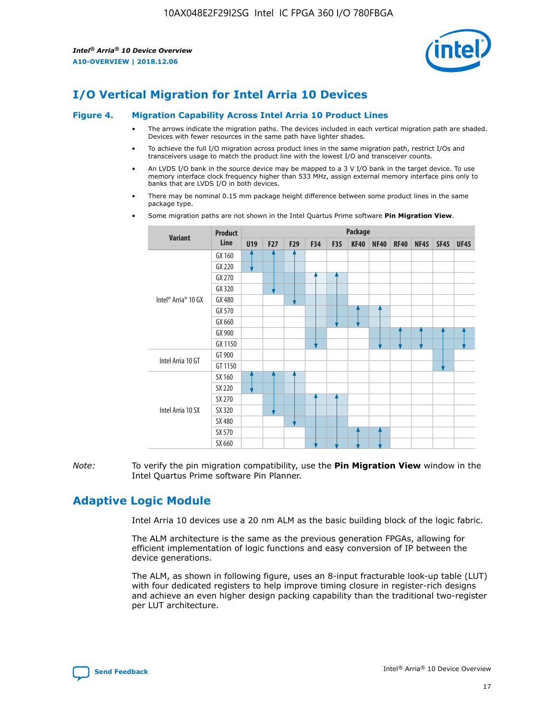

# **I/O Vertical Migration for Intel Arria 10 Devices**

#### **Figure 4. Migration Capability Across Intel Arria 10 Product Lines**

- The arrows indicate the migration paths. The devices included in each vertical migration path are shaded. Devices with fewer resources in the same path have lighter shades.
- To achieve the full I/O migration across product lines in the same migration path, restrict I/Os and transceivers usage to match the product line with the lowest I/O and transceiver counts.
- An LVDS I/O bank in the source device may be mapped to a 3 V I/O bank in the target device. To use memory interface clock frequency higher than 533 MHz, assign external memory interface pins only to banks that are LVDS I/O in both devices.
- There may be nominal 0.15 mm package height difference between some product lines in the same package type.
	- **Variant Product Line Package U19 F27 F29 F34 F35 KF40 NF40 RF40 NF45 SF45 UF45** Intel® Arria® 10 GX GX 160 GX 220 GX 270 GX 320 GX 480 GX 570 GX 660 GX 900 GX 1150 Intel Arria 10 GT GT 900 GT 1150 Intel Arria 10 SX SX 160 SX 220 SX 270 SX 320 SX 480 SX 570 SX 660
- Some migration paths are not shown in the Intel Quartus Prime software **Pin Migration View**.

*Note:* To verify the pin migration compatibility, use the **Pin Migration View** window in the Intel Quartus Prime software Pin Planner.

# **Adaptive Logic Module**

Intel Arria 10 devices use a 20 nm ALM as the basic building block of the logic fabric.

The ALM architecture is the same as the previous generation FPGAs, allowing for efficient implementation of logic functions and easy conversion of IP between the device generations.

The ALM, as shown in following figure, uses an 8-input fracturable look-up table (LUT) with four dedicated registers to help improve timing closure in register-rich designs and achieve an even higher design packing capability than the traditional two-register per LUT architecture.

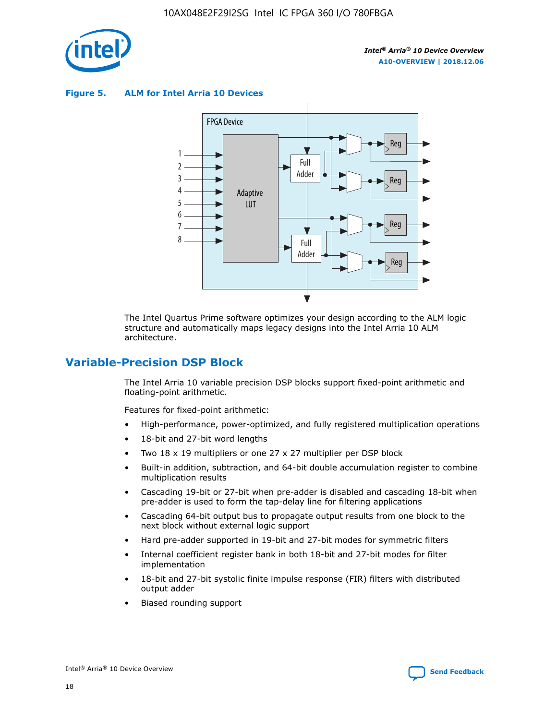

**Figure 5. ALM for Intel Arria 10 Devices**



The Intel Quartus Prime software optimizes your design according to the ALM logic structure and automatically maps legacy designs into the Intel Arria 10 ALM architecture.

# **Variable-Precision DSP Block**

The Intel Arria 10 variable precision DSP blocks support fixed-point arithmetic and floating-point arithmetic.

Features for fixed-point arithmetic:

- High-performance, power-optimized, and fully registered multiplication operations
- 18-bit and 27-bit word lengths
- Two 18 x 19 multipliers or one 27 x 27 multiplier per DSP block
- Built-in addition, subtraction, and 64-bit double accumulation register to combine multiplication results
- Cascading 19-bit or 27-bit when pre-adder is disabled and cascading 18-bit when pre-adder is used to form the tap-delay line for filtering applications
- Cascading 64-bit output bus to propagate output results from one block to the next block without external logic support
- Hard pre-adder supported in 19-bit and 27-bit modes for symmetric filters
- Internal coefficient register bank in both 18-bit and 27-bit modes for filter implementation
- 18-bit and 27-bit systolic finite impulse response (FIR) filters with distributed output adder
- Biased rounding support

18

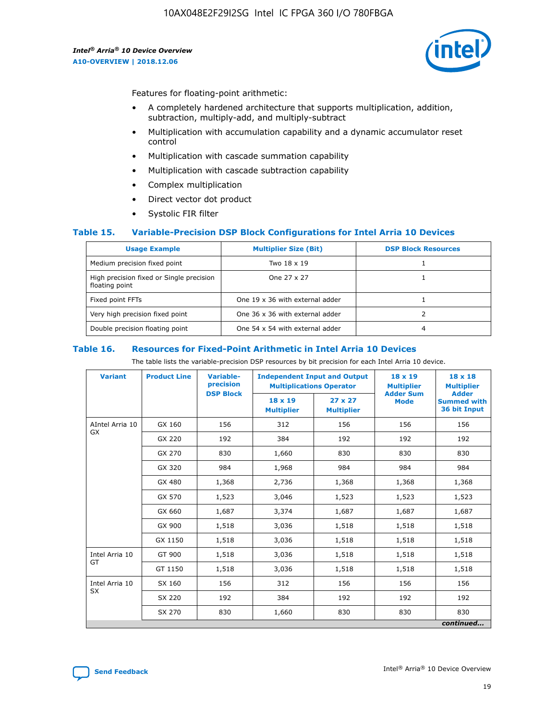

Features for floating-point arithmetic:

- A completely hardened architecture that supports multiplication, addition, subtraction, multiply-add, and multiply-subtract
- Multiplication with accumulation capability and a dynamic accumulator reset control
- Multiplication with cascade summation capability
- Multiplication with cascade subtraction capability
- Complex multiplication
- Direct vector dot product
- Systolic FIR filter

## **Table 15. Variable-Precision DSP Block Configurations for Intel Arria 10 Devices**

| <b>Usage Example</b>                                       | <b>Multiplier Size (Bit)</b>    | <b>DSP Block Resources</b> |
|------------------------------------------------------------|---------------------------------|----------------------------|
| Medium precision fixed point                               | Two 18 x 19                     |                            |
| High precision fixed or Single precision<br>floating point | One 27 x 27                     |                            |
| Fixed point FFTs                                           | One 19 x 36 with external adder |                            |
| Very high precision fixed point                            | One 36 x 36 with external adder |                            |
| Double precision floating point                            | One 54 x 54 with external adder | 4                          |

#### **Table 16. Resources for Fixed-Point Arithmetic in Intel Arria 10 Devices**

The table lists the variable-precision DSP resources by bit precision for each Intel Arria 10 device.

| <b>Variant</b>  | <b>Product Line</b> | <b>Variable-</b><br>precision<br><b>DSP Block</b> | <b>Independent Input and Output</b><br><b>Multiplications Operator</b> |                                     | 18 x 19<br><b>Multiplier</b><br><b>Adder Sum</b> | $18 \times 18$<br><b>Multiplier</b><br><b>Adder</b> |
|-----------------|---------------------|---------------------------------------------------|------------------------------------------------------------------------|-------------------------------------|--------------------------------------------------|-----------------------------------------------------|
|                 |                     |                                                   | 18 x 19<br><b>Multiplier</b>                                           | $27 \times 27$<br><b>Multiplier</b> | <b>Mode</b>                                      | <b>Summed with</b><br>36 bit Input                  |
| AIntel Arria 10 | GX 160              | 156                                               | 312                                                                    | 156                                 | 156                                              | 156                                                 |
| GX              | GX 220              | 192                                               | 384                                                                    | 192                                 | 192                                              | 192                                                 |
|                 | GX 270              | 830                                               | 1,660                                                                  | 830                                 | 830                                              | 830                                                 |
|                 | GX 320              | 984                                               | 1,968                                                                  | 984                                 | 984                                              | 984                                                 |
|                 | GX 480              | 1,368                                             | 2,736                                                                  | 1,368                               | 1,368                                            | 1,368                                               |
|                 | GX 570              | 1,523                                             | 3,046                                                                  | 1,523                               | 1,523                                            | 1,523                                               |
|                 | GX 660              | 1,687                                             | 3,374                                                                  | 1,687                               | 1,687                                            | 1,687                                               |
|                 | GX 900              | 1,518                                             | 3,036                                                                  | 1,518                               | 1,518                                            | 1,518                                               |
|                 | GX 1150             | 1,518                                             | 3,036                                                                  | 1,518                               | 1,518                                            | 1,518                                               |
| Intel Arria 10  | GT 900              | 1,518                                             | 3,036                                                                  | 1,518                               | 1,518                                            | 1,518                                               |
| GT              | GT 1150             | 1,518                                             | 3,036                                                                  | 1,518                               | 1,518                                            | 1,518                                               |
| Intel Arria 10  | SX 160              | 156                                               | 312                                                                    | 156                                 | 156                                              | 156                                                 |
| <b>SX</b>       | SX 220              | 192                                               | 384                                                                    | 192                                 | 192                                              | 192                                                 |
|                 | SX 270              | 830                                               | 830<br>1,660                                                           |                                     | 830                                              | 830                                                 |
|                 |                     |                                                   |                                                                        |                                     |                                                  | continued                                           |

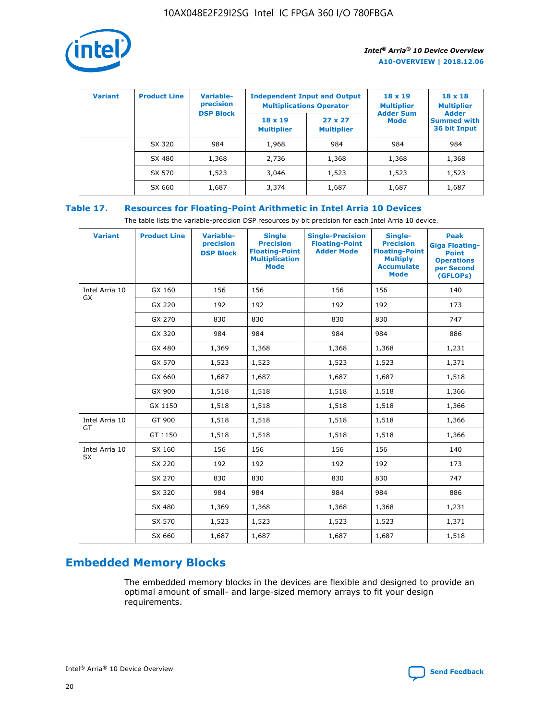

| <b>Variant</b> | <b>Product Line</b> | Variable-<br>precision | <b>Independent Input and Output</b><br><b>Multiplications Operator</b> |                                     | $18 \times 19$<br><b>Multiplier</b> | $18 \times 18$<br><b>Multiplier</b><br><b>Adder</b> |  |
|----------------|---------------------|------------------------|------------------------------------------------------------------------|-------------------------------------|-------------------------------------|-----------------------------------------------------|--|
|                |                     | <b>DSP Block</b>       | $18 \times 19$<br><b>Multiplier</b>                                    | $27 \times 27$<br><b>Multiplier</b> | <b>Adder Sum</b><br><b>Mode</b>     | <b>Summed with</b><br>36 bit Input                  |  |
|                | SX 320              | 984                    | 1,968                                                                  | 984                                 | 984                                 | 984                                                 |  |
|                | SX 480              | 1,368                  | 2,736                                                                  | 1,368                               | 1,368                               | 1,368                                               |  |
|                | SX 570              | 1,523                  | 3,046                                                                  | 1,523                               | 1,523                               | 1,523                                               |  |
|                | SX 660              | 1,687                  | 3,374                                                                  | 1,687                               | 1,687                               | 1,687                                               |  |

# **Table 17. Resources for Floating-Point Arithmetic in Intel Arria 10 Devices**

The table lists the variable-precision DSP resources by bit precision for each Intel Arria 10 device.

| <b>Variant</b> | <b>Product Line</b> | <b>Variable-</b><br>precision<br><b>DSP Block</b> | <b>Single</b><br><b>Precision</b><br><b>Floating-Point</b><br><b>Multiplication</b><br><b>Mode</b> | <b>Single-Precision</b><br><b>Floating-Point</b><br><b>Adder Mode</b> | Single-<br><b>Precision</b><br><b>Floating-Point</b><br><b>Multiply</b><br><b>Accumulate</b><br><b>Mode</b> | <b>Peak</b><br><b>Giga Floating-</b><br><b>Point</b><br><b>Operations</b><br>per Second<br>(GFLOPs) |
|----------------|---------------------|---------------------------------------------------|----------------------------------------------------------------------------------------------------|-----------------------------------------------------------------------|-------------------------------------------------------------------------------------------------------------|-----------------------------------------------------------------------------------------------------|
| Intel Arria 10 | GX 160              | 156                                               | 156                                                                                                | 156                                                                   | 156                                                                                                         | 140                                                                                                 |
| GX             | GX 220              | 192                                               | 192                                                                                                | 192                                                                   | 192                                                                                                         | 173                                                                                                 |
|                | GX 270              | 830                                               | 830                                                                                                | 830                                                                   | 830                                                                                                         | 747                                                                                                 |
|                | GX 320              | 984                                               | 984                                                                                                | 984                                                                   | 984                                                                                                         | 886                                                                                                 |
|                | GX 480              | 1,369                                             | 1,368                                                                                              | 1,368                                                                 | 1,368                                                                                                       | 1,231                                                                                               |
|                | GX 570              | 1,523                                             | 1,523                                                                                              | 1,523                                                                 | 1,523                                                                                                       | 1,371                                                                                               |
|                | GX 660              | 1,687                                             | 1,687                                                                                              | 1,687                                                                 | 1,687                                                                                                       | 1,518                                                                                               |
|                | GX 900              | 1,518                                             | 1,518                                                                                              | 1,518                                                                 | 1,518                                                                                                       | 1,366                                                                                               |
|                | GX 1150             | 1,518                                             | 1,518                                                                                              | 1,518                                                                 | 1,518                                                                                                       | 1,366                                                                                               |
| Intel Arria 10 | GT 900              | 1,518                                             | 1,518                                                                                              | 1,518                                                                 | 1,518                                                                                                       | 1,366                                                                                               |
| GT             | GT 1150             | 1,518                                             | 1,518                                                                                              | 1,518                                                                 | 1,518                                                                                                       | 1,366                                                                                               |
| Intel Arria 10 | SX 160              | 156                                               | 156                                                                                                | 156                                                                   | 156                                                                                                         | 140                                                                                                 |
| SX             | SX 220              | 192                                               | 192                                                                                                | 192                                                                   | 192                                                                                                         | 173                                                                                                 |
|                | SX 270              | 830                                               | 830                                                                                                | 830                                                                   | 830                                                                                                         | 747                                                                                                 |
|                | SX 320              | 984                                               | 984                                                                                                | 984                                                                   | 984                                                                                                         | 886                                                                                                 |
|                | SX 480              | 1,369                                             | 1,368                                                                                              | 1,368                                                                 | 1,368                                                                                                       | 1,231                                                                                               |
|                | SX 570              | 1,523                                             | 1,523                                                                                              | 1,523                                                                 | 1,523                                                                                                       | 1,371                                                                                               |
|                | SX 660              | 1,687                                             | 1,687                                                                                              | 1,687                                                                 | 1,687                                                                                                       | 1,518                                                                                               |

# **Embedded Memory Blocks**

The embedded memory blocks in the devices are flexible and designed to provide an optimal amount of small- and large-sized memory arrays to fit your design requirements.

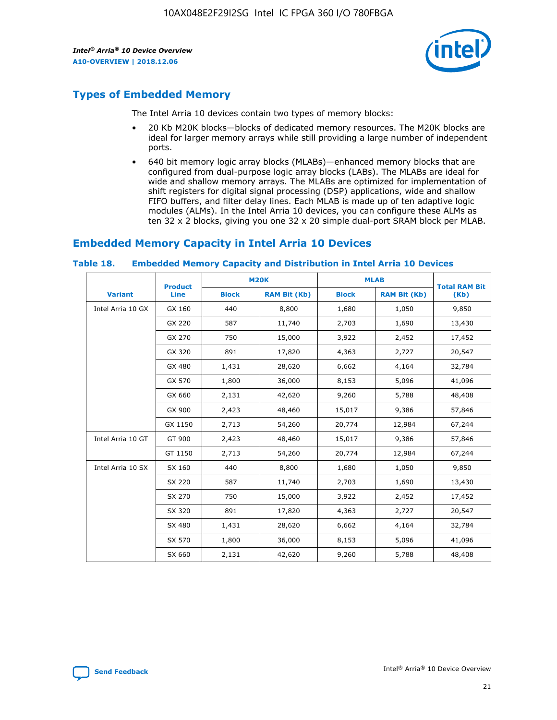

# **Types of Embedded Memory**

The Intel Arria 10 devices contain two types of memory blocks:

- 20 Kb M20K blocks—blocks of dedicated memory resources. The M20K blocks are ideal for larger memory arrays while still providing a large number of independent ports.
- 640 bit memory logic array blocks (MLABs)—enhanced memory blocks that are configured from dual-purpose logic array blocks (LABs). The MLABs are ideal for wide and shallow memory arrays. The MLABs are optimized for implementation of shift registers for digital signal processing (DSP) applications, wide and shallow FIFO buffers, and filter delay lines. Each MLAB is made up of ten adaptive logic modules (ALMs). In the Intel Arria 10 devices, you can configure these ALMs as ten 32 x 2 blocks, giving you one 32 x 20 simple dual-port SRAM block per MLAB.

# **Embedded Memory Capacity in Intel Arria 10 Devices**

|                   | <b>Product</b> |              | <b>M20K</b>         | <b>MLAB</b>  |                     | <b>Total RAM Bit</b> |
|-------------------|----------------|--------------|---------------------|--------------|---------------------|----------------------|
| <b>Variant</b>    | <b>Line</b>    | <b>Block</b> | <b>RAM Bit (Kb)</b> | <b>Block</b> | <b>RAM Bit (Kb)</b> | (Kb)                 |
| Intel Arria 10 GX | GX 160         | 440          | 8,800               | 1,680        | 1,050               | 9,850                |
|                   | GX 220         | 587          | 11,740              | 2,703        | 1,690               | 13,430               |
|                   | GX 270         | 750          | 15,000              | 3,922        | 2,452               | 17,452               |
|                   | GX 320         | 891          | 17,820              | 4,363        | 2,727               | 20,547               |
|                   | GX 480         | 1,431        | 28,620              | 6,662        | 4,164               | 32,784               |
|                   | GX 570         | 1,800        | 36,000              | 8,153        | 5,096               | 41,096               |
|                   | GX 660         | 2,131        | 42,620              | 9,260        | 5,788               | 48,408               |
|                   | GX 900         | 2,423        | 48,460              | 15,017       | 9,386               | 57,846               |
|                   | GX 1150        | 2,713        | 54,260              | 20,774       | 12,984              | 67,244               |
| Intel Arria 10 GT | GT 900         | 2,423        | 48,460              | 15,017       | 9,386               | 57,846               |
|                   | GT 1150        | 2,713        | 54,260              | 20,774       | 12,984              | 67,244               |
| Intel Arria 10 SX | SX 160         | 440          | 8,800               | 1,680        | 1,050               | 9,850                |
|                   | SX 220         | 587          | 11,740              | 2,703        | 1,690               | 13,430               |
|                   | SX 270         | 750          | 15,000              | 3,922        | 2,452               | 17,452               |
|                   | SX 320         | 891          | 17,820              | 4,363        | 2,727               | 20,547               |
|                   | SX 480         | 1,431        | 28,620              | 6,662        | 4,164               | 32,784               |
|                   | SX 570         | 1,800        | 36,000              | 8,153        | 5,096               | 41,096               |
|                   | SX 660         | 2,131        | 42,620              | 9,260        | 5,788               | 48,408               |

#### **Table 18. Embedded Memory Capacity and Distribution in Intel Arria 10 Devices**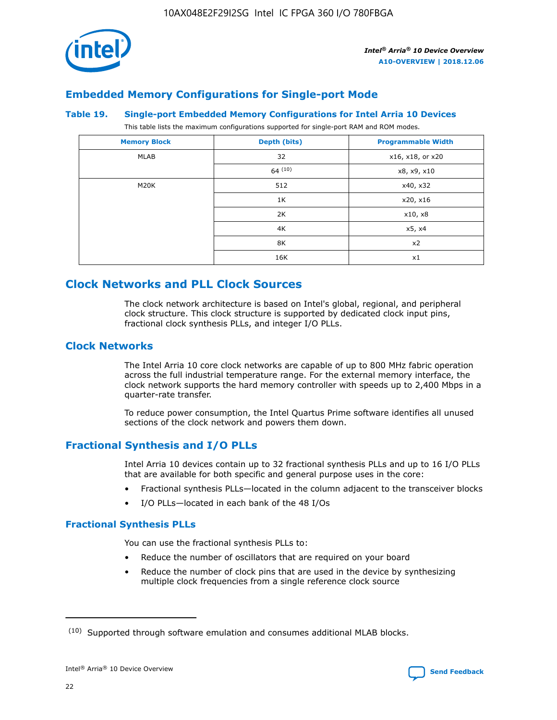

# **Embedded Memory Configurations for Single-port Mode**

#### **Table 19. Single-port Embedded Memory Configurations for Intel Arria 10 Devices**

This table lists the maximum configurations supported for single-port RAM and ROM modes.

| <b>Memory Block</b> | Depth (bits) | <b>Programmable Width</b> |
|---------------------|--------------|---------------------------|
| MLAB                | 32           | x16, x18, or x20          |
|                     | 64(10)       | x8, x9, x10               |
| M20K                | 512          | x40, x32                  |
|                     | 1K           | x20, x16                  |
|                     | 2K           | x10, x8                   |
|                     | 4K           | x5, x4                    |
|                     | 8K           | x2                        |
|                     | 16K          | x1                        |

# **Clock Networks and PLL Clock Sources**

The clock network architecture is based on Intel's global, regional, and peripheral clock structure. This clock structure is supported by dedicated clock input pins, fractional clock synthesis PLLs, and integer I/O PLLs.

# **Clock Networks**

The Intel Arria 10 core clock networks are capable of up to 800 MHz fabric operation across the full industrial temperature range. For the external memory interface, the clock network supports the hard memory controller with speeds up to 2,400 Mbps in a quarter-rate transfer.

To reduce power consumption, the Intel Quartus Prime software identifies all unused sections of the clock network and powers them down.

# **Fractional Synthesis and I/O PLLs**

Intel Arria 10 devices contain up to 32 fractional synthesis PLLs and up to 16 I/O PLLs that are available for both specific and general purpose uses in the core:

- Fractional synthesis PLLs—located in the column adjacent to the transceiver blocks
- I/O PLLs—located in each bank of the 48 I/Os

## **Fractional Synthesis PLLs**

You can use the fractional synthesis PLLs to:

- Reduce the number of oscillators that are required on your board
- Reduce the number of clock pins that are used in the device by synthesizing multiple clock frequencies from a single reference clock source

<sup>(10)</sup> Supported through software emulation and consumes additional MLAB blocks.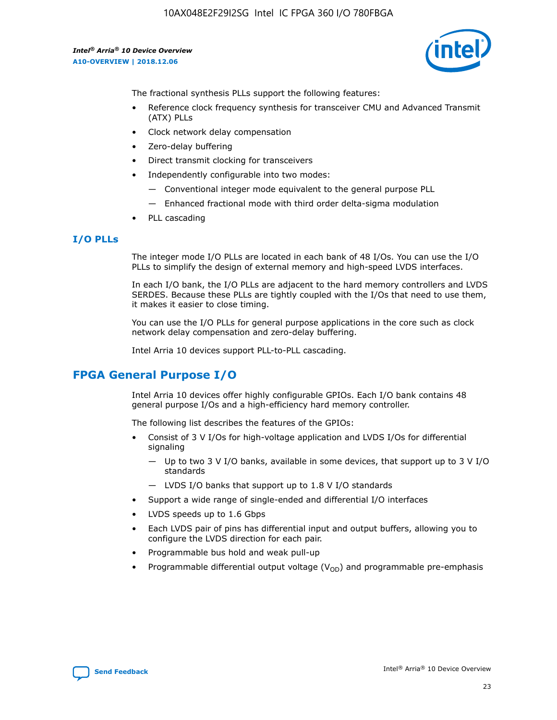10AX048E2F29I2SG Intel IC FPGA 360 I/O 780FBGA

*Intel® Arria® 10 Device Overview* **A10-OVERVIEW | 2018.12.06**



The fractional synthesis PLLs support the following features:

- Reference clock frequency synthesis for transceiver CMU and Advanced Transmit (ATX) PLLs
- Clock network delay compensation
- Zero-delay buffering
- Direct transmit clocking for transceivers
- Independently configurable into two modes:
	- Conventional integer mode equivalent to the general purpose PLL
	- Enhanced fractional mode with third order delta-sigma modulation
- PLL cascading

## **I/O PLLs**

The integer mode I/O PLLs are located in each bank of 48 I/Os. You can use the I/O PLLs to simplify the design of external memory and high-speed LVDS interfaces.

In each I/O bank, the I/O PLLs are adjacent to the hard memory controllers and LVDS SERDES. Because these PLLs are tightly coupled with the I/Os that need to use them, it makes it easier to close timing.

You can use the I/O PLLs for general purpose applications in the core such as clock network delay compensation and zero-delay buffering.

Intel Arria 10 devices support PLL-to-PLL cascading.

# **FPGA General Purpose I/O**

Intel Arria 10 devices offer highly configurable GPIOs. Each I/O bank contains 48 general purpose I/Os and a high-efficiency hard memory controller.

The following list describes the features of the GPIOs:

- Consist of 3 V I/Os for high-voltage application and LVDS I/Os for differential signaling
	- Up to two 3 V I/O banks, available in some devices, that support up to 3 V I/O standards
	- LVDS I/O banks that support up to 1.8 V I/O standards
- Support a wide range of single-ended and differential I/O interfaces
- LVDS speeds up to 1.6 Gbps
- Each LVDS pair of pins has differential input and output buffers, allowing you to configure the LVDS direction for each pair.
- Programmable bus hold and weak pull-up
- Programmable differential output voltage  $(V_{OD})$  and programmable pre-emphasis

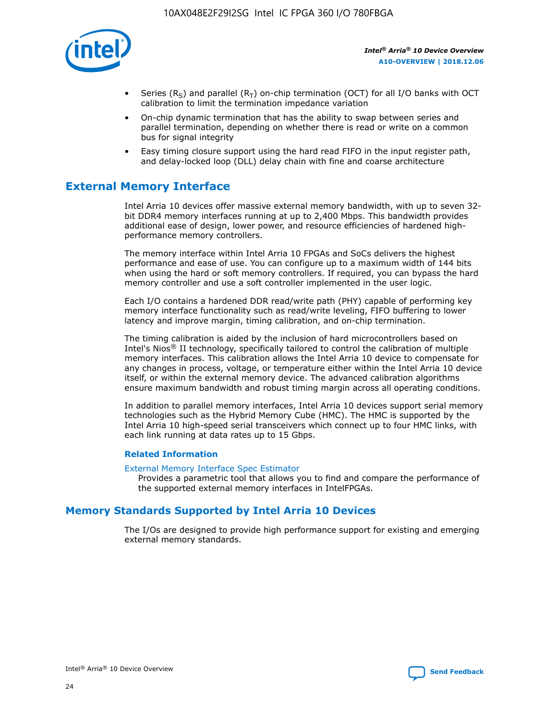

- Series (R<sub>S</sub>) and parallel (R<sub>T</sub>) on-chip termination (OCT) for all I/O banks with OCT calibration to limit the termination impedance variation
- On-chip dynamic termination that has the ability to swap between series and parallel termination, depending on whether there is read or write on a common bus for signal integrity
- Easy timing closure support using the hard read FIFO in the input register path, and delay-locked loop (DLL) delay chain with fine and coarse architecture

# **External Memory Interface**

Intel Arria 10 devices offer massive external memory bandwidth, with up to seven 32 bit DDR4 memory interfaces running at up to 2,400 Mbps. This bandwidth provides additional ease of design, lower power, and resource efficiencies of hardened highperformance memory controllers.

The memory interface within Intel Arria 10 FPGAs and SoCs delivers the highest performance and ease of use. You can configure up to a maximum width of 144 bits when using the hard or soft memory controllers. If required, you can bypass the hard memory controller and use a soft controller implemented in the user logic.

Each I/O contains a hardened DDR read/write path (PHY) capable of performing key memory interface functionality such as read/write leveling, FIFO buffering to lower latency and improve margin, timing calibration, and on-chip termination.

The timing calibration is aided by the inclusion of hard microcontrollers based on Intel's Nios® II technology, specifically tailored to control the calibration of multiple memory interfaces. This calibration allows the Intel Arria 10 device to compensate for any changes in process, voltage, or temperature either within the Intel Arria 10 device itself, or within the external memory device. The advanced calibration algorithms ensure maximum bandwidth and robust timing margin across all operating conditions.

In addition to parallel memory interfaces, Intel Arria 10 devices support serial memory technologies such as the Hybrid Memory Cube (HMC). The HMC is supported by the Intel Arria 10 high-speed serial transceivers which connect up to four HMC links, with each link running at data rates up to 15 Gbps.

## **Related Information**

#### [External Memory Interface Spec Estimator](http://www.altera.com/technology/memory/estimator/mem-emif-index.html)

Provides a parametric tool that allows you to find and compare the performance of the supported external memory interfaces in IntelFPGAs.

# **Memory Standards Supported by Intel Arria 10 Devices**

The I/Os are designed to provide high performance support for existing and emerging external memory standards.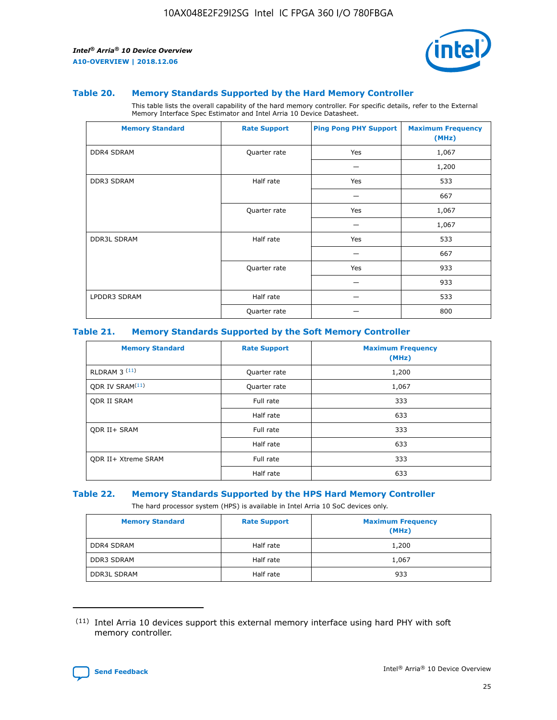

#### **Table 20. Memory Standards Supported by the Hard Memory Controller**

This table lists the overall capability of the hard memory controller. For specific details, refer to the External Memory Interface Spec Estimator and Intel Arria 10 Device Datasheet.

| <b>Memory Standard</b> | <b>Rate Support</b> | <b>Ping Pong PHY Support</b> | <b>Maximum Frequency</b><br>(MHz) |
|------------------------|---------------------|------------------------------|-----------------------------------|
| <b>DDR4 SDRAM</b>      | Quarter rate        | Yes                          | 1,067                             |
|                        |                     |                              | 1,200                             |
| DDR3 SDRAM             | Half rate           | Yes                          | 533                               |
|                        |                     |                              | 667                               |
|                        | Quarter rate        | Yes                          | 1,067                             |
|                        |                     |                              | 1,067                             |
| <b>DDR3L SDRAM</b>     | Half rate           | Yes                          | 533                               |
|                        |                     |                              | 667                               |
|                        | Quarter rate        | Yes                          | 933                               |
|                        |                     |                              | 933                               |
| LPDDR3 SDRAM           | Half rate           |                              | 533                               |
|                        | Quarter rate        |                              | 800                               |

#### **Table 21. Memory Standards Supported by the Soft Memory Controller**

| <b>Memory Standard</b>      | <b>Rate Support</b> | <b>Maximum Frequency</b><br>(MHz) |
|-----------------------------|---------------------|-----------------------------------|
| <b>RLDRAM 3 (11)</b>        | Quarter rate        | 1,200                             |
| ODR IV SRAM <sup>(11)</sup> | Quarter rate        | 1,067                             |
| <b>ODR II SRAM</b>          | Full rate           | 333                               |
|                             | Half rate           | 633                               |
| <b>ODR II+ SRAM</b>         | Full rate           | 333                               |
|                             | Half rate           | 633                               |
| <b>ODR II+ Xtreme SRAM</b>  | Full rate           | 333                               |
|                             | Half rate           | 633                               |

#### **Table 22. Memory Standards Supported by the HPS Hard Memory Controller**

The hard processor system (HPS) is available in Intel Arria 10 SoC devices only.

| <b>Memory Standard</b> | <b>Rate Support</b> | <b>Maximum Frequency</b><br>(MHz) |
|------------------------|---------------------|-----------------------------------|
| <b>DDR4 SDRAM</b>      | Half rate           | 1,200                             |
| <b>DDR3 SDRAM</b>      | Half rate           | 1,067                             |
| <b>DDR3L SDRAM</b>     | Half rate           | 933                               |

<sup>(11)</sup> Intel Arria 10 devices support this external memory interface using hard PHY with soft memory controller.

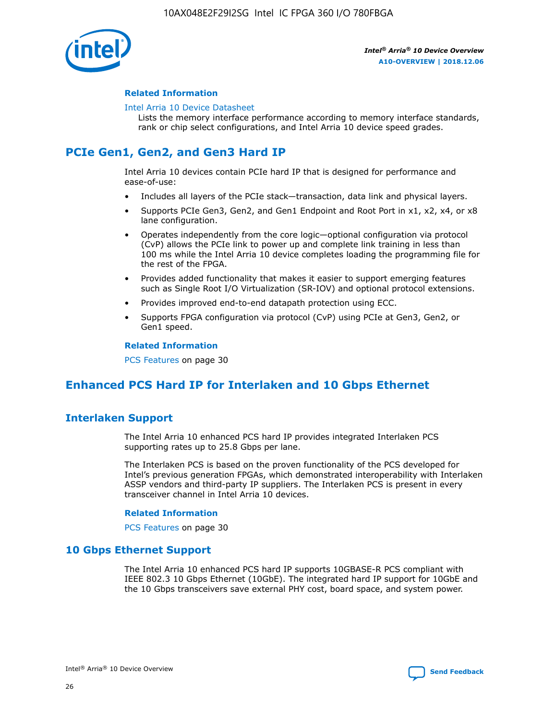

## **Related Information**

#### [Intel Arria 10 Device Datasheet](https://www.intel.com/content/www/us/en/programmable/documentation/mcn1413182292568.html#mcn1413182153340)

Lists the memory interface performance according to memory interface standards, rank or chip select configurations, and Intel Arria 10 device speed grades.

# **PCIe Gen1, Gen2, and Gen3 Hard IP**

Intel Arria 10 devices contain PCIe hard IP that is designed for performance and ease-of-use:

- Includes all layers of the PCIe stack—transaction, data link and physical layers.
- Supports PCIe Gen3, Gen2, and Gen1 Endpoint and Root Port in x1, x2, x4, or x8 lane configuration.
- Operates independently from the core logic—optional configuration via protocol (CvP) allows the PCIe link to power up and complete link training in less than 100 ms while the Intel Arria 10 device completes loading the programming file for the rest of the FPGA.
- Provides added functionality that makes it easier to support emerging features such as Single Root I/O Virtualization (SR-IOV) and optional protocol extensions.
- Provides improved end-to-end datapath protection using ECC.
- Supports FPGA configuration via protocol (CvP) using PCIe at Gen3, Gen2, or Gen1 speed.

#### **Related Information**

PCS Features on page 30

# **Enhanced PCS Hard IP for Interlaken and 10 Gbps Ethernet**

# **Interlaken Support**

The Intel Arria 10 enhanced PCS hard IP provides integrated Interlaken PCS supporting rates up to 25.8 Gbps per lane.

The Interlaken PCS is based on the proven functionality of the PCS developed for Intel's previous generation FPGAs, which demonstrated interoperability with Interlaken ASSP vendors and third-party IP suppliers. The Interlaken PCS is present in every transceiver channel in Intel Arria 10 devices.

## **Related Information**

PCS Features on page 30

# **10 Gbps Ethernet Support**

The Intel Arria 10 enhanced PCS hard IP supports 10GBASE-R PCS compliant with IEEE 802.3 10 Gbps Ethernet (10GbE). The integrated hard IP support for 10GbE and the 10 Gbps transceivers save external PHY cost, board space, and system power.

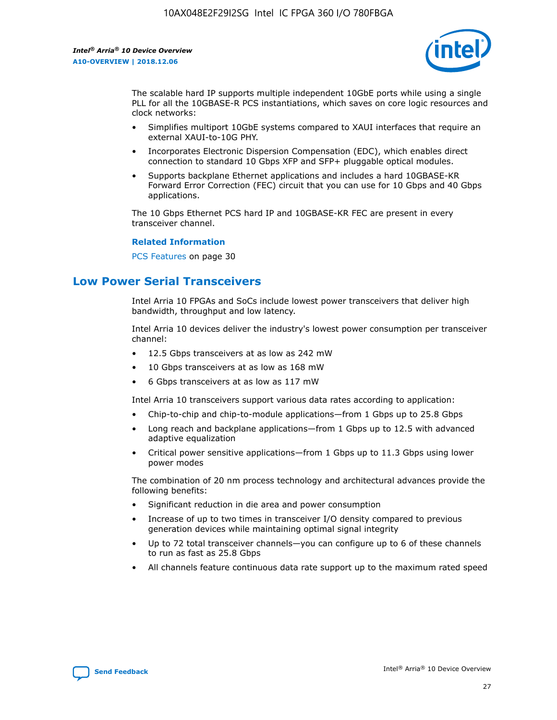

The scalable hard IP supports multiple independent 10GbE ports while using a single PLL for all the 10GBASE-R PCS instantiations, which saves on core logic resources and clock networks:

- Simplifies multiport 10GbE systems compared to XAUI interfaces that require an external XAUI-to-10G PHY.
- Incorporates Electronic Dispersion Compensation (EDC), which enables direct connection to standard 10 Gbps XFP and SFP+ pluggable optical modules.
- Supports backplane Ethernet applications and includes a hard 10GBASE-KR Forward Error Correction (FEC) circuit that you can use for 10 Gbps and 40 Gbps applications.

The 10 Gbps Ethernet PCS hard IP and 10GBASE-KR FEC are present in every transceiver channel.

#### **Related Information**

PCS Features on page 30

# **Low Power Serial Transceivers**

Intel Arria 10 FPGAs and SoCs include lowest power transceivers that deliver high bandwidth, throughput and low latency.

Intel Arria 10 devices deliver the industry's lowest power consumption per transceiver channel:

- 12.5 Gbps transceivers at as low as 242 mW
- 10 Gbps transceivers at as low as 168 mW
- 6 Gbps transceivers at as low as 117 mW

Intel Arria 10 transceivers support various data rates according to application:

- Chip-to-chip and chip-to-module applications—from 1 Gbps up to 25.8 Gbps
- Long reach and backplane applications—from 1 Gbps up to 12.5 with advanced adaptive equalization
- Critical power sensitive applications—from 1 Gbps up to 11.3 Gbps using lower power modes

The combination of 20 nm process technology and architectural advances provide the following benefits:

- Significant reduction in die area and power consumption
- Increase of up to two times in transceiver I/O density compared to previous generation devices while maintaining optimal signal integrity
- Up to 72 total transceiver channels—you can configure up to 6 of these channels to run as fast as 25.8 Gbps
- All channels feature continuous data rate support up to the maximum rated speed

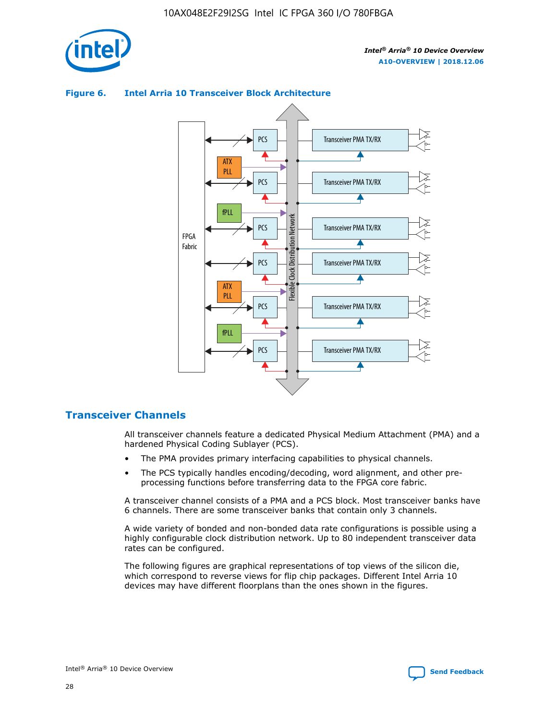





# **Transceiver Channels**

All transceiver channels feature a dedicated Physical Medium Attachment (PMA) and a hardened Physical Coding Sublayer (PCS).

- The PMA provides primary interfacing capabilities to physical channels.
- The PCS typically handles encoding/decoding, word alignment, and other preprocessing functions before transferring data to the FPGA core fabric.

A transceiver channel consists of a PMA and a PCS block. Most transceiver banks have 6 channels. There are some transceiver banks that contain only 3 channels.

A wide variety of bonded and non-bonded data rate configurations is possible using a highly configurable clock distribution network. Up to 80 independent transceiver data rates can be configured.

The following figures are graphical representations of top views of the silicon die, which correspond to reverse views for flip chip packages. Different Intel Arria 10 devices may have different floorplans than the ones shown in the figures.

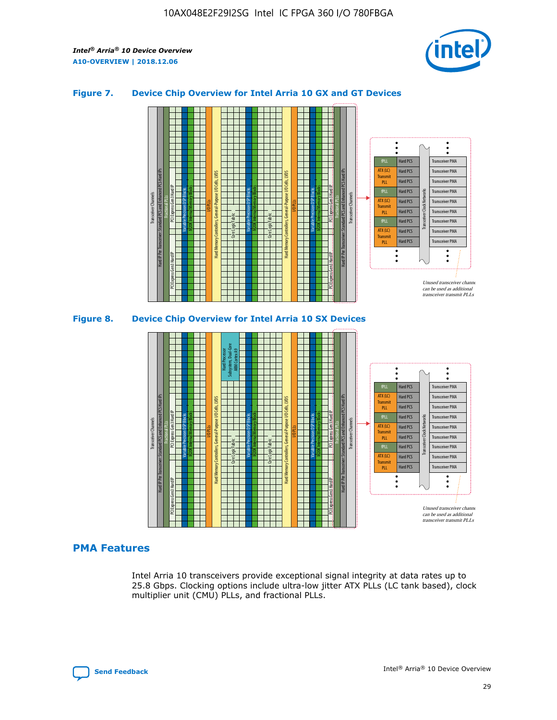

## **Figure 7. Device Chip Overview for Intel Arria 10 GX and GT Devices**



# **PMA Features**

Intel Arria 10 transceivers provide exceptional signal integrity at data rates up to 25.8 Gbps. Clocking options include ultra-low jitter ATX PLLs (LC tank based), clock multiplier unit (CMU) PLLs, and fractional PLLs.



Hard PCS Hard PCS Hard PCS Hard PCS Hard PCS

ATX (LC) Transmi PLL fPLL ATX (LC) **Transmit** PLL

Transceiver PMA Transceiver PMA Transceiver PMA

Transceiver PMA Transceiver PMA

Unused transceiver chann can be used as additional transceiver transmit PLLs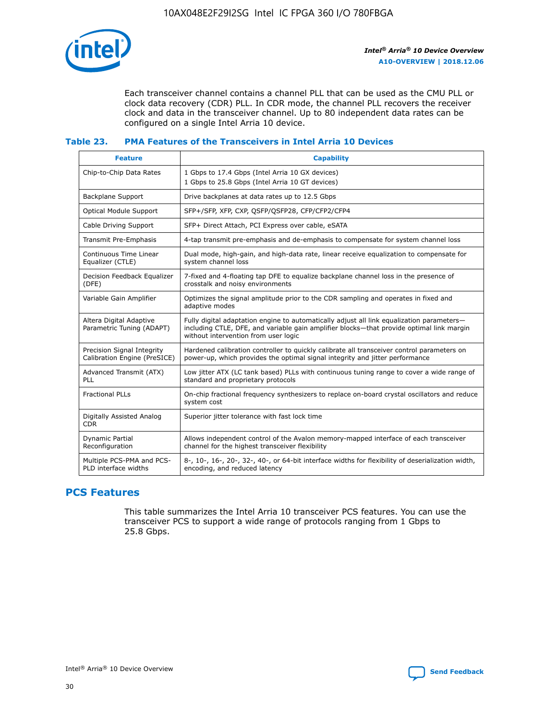

Each transceiver channel contains a channel PLL that can be used as the CMU PLL or clock data recovery (CDR) PLL. In CDR mode, the channel PLL recovers the receiver clock and data in the transceiver channel. Up to 80 independent data rates can be configured on a single Intel Arria 10 device.

## **Table 23. PMA Features of the Transceivers in Intel Arria 10 Devices**

| <b>Feature</b>                                             | <b>Capability</b>                                                                                                                                                                                                             |
|------------------------------------------------------------|-------------------------------------------------------------------------------------------------------------------------------------------------------------------------------------------------------------------------------|
| Chip-to-Chip Data Rates                                    | 1 Gbps to 17.4 Gbps (Intel Arria 10 GX devices)<br>1 Gbps to 25.8 Gbps (Intel Arria 10 GT devices)                                                                                                                            |
| <b>Backplane Support</b>                                   | Drive backplanes at data rates up to 12.5 Gbps                                                                                                                                                                                |
| <b>Optical Module Support</b>                              | SFP+/SFP, XFP, CXP, QSFP/QSFP28, CFP/CFP2/CFP4                                                                                                                                                                                |
| Cable Driving Support                                      | SFP+ Direct Attach, PCI Express over cable, eSATA                                                                                                                                                                             |
| Transmit Pre-Emphasis                                      | 4-tap transmit pre-emphasis and de-emphasis to compensate for system channel loss                                                                                                                                             |
| Continuous Time Linear<br>Equalizer (CTLE)                 | Dual mode, high-gain, and high-data rate, linear receive equalization to compensate for<br>system channel loss                                                                                                                |
| Decision Feedback Equalizer<br>(DFE)                       | 7-fixed and 4-floating tap DFE to equalize backplane channel loss in the presence of<br>crosstalk and noisy environments                                                                                                      |
| Variable Gain Amplifier                                    | Optimizes the signal amplitude prior to the CDR sampling and operates in fixed and<br>adaptive modes                                                                                                                          |
| Altera Digital Adaptive<br>Parametric Tuning (ADAPT)       | Fully digital adaptation engine to automatically adjust all link equalization parameters-<br>including CTLE, DFE, and variable gain amplifier blocks—that provide optimal link margin<br>without intervention from user logic |
| Precision Signal Integrity<br>Calibration Engine (PreSICE) | Hardened calibration controller to quickly calibrate all transceiver control parameters on<br>power-up, which provides the optimal signal integrity and jitter performance                                                    |
| Advanced Transmit (ATX)<br><b>PLL</b>                      | Low jitter ATX (LC tank based) PLLs with continuous tuning range to cover a wide range of<br>standard and proprietary protocols                                                                                               |
| <b>Fractional PLLs</b>                                     | On-chip fractional frequency synthesizers to replace on-board crystal oscillators and reduce<br>system cost                                                                                                                   |
| Digitally Assisted Analog<br><b>CDR</b>                    | Superior jitter tolerance with fast lock time                                                                                                                                                                                 |
| Dynamic Partial<br>Reconfiguration                         | Allows independent control of the Avalon memory-mapped interface of each transceiver<br>channel for the highest transceiver flexibility                                                                                       |
| Multiple PCS-PMA and PCS-<br>PLD interface widths          | 8-, 10-, 16-, 20-, 32-, 40-, or 64-bit interface widths for flexibility of deserialization width,<br>encoding, and reduced latency                                                                                            |

# **PCS Features**

This table summarizes the Intel Arria 10 transceiver PCS features. You can use the transceiver PCS to support a wide range of protocols ranging from 1 Gbps to 25.8 Gbps.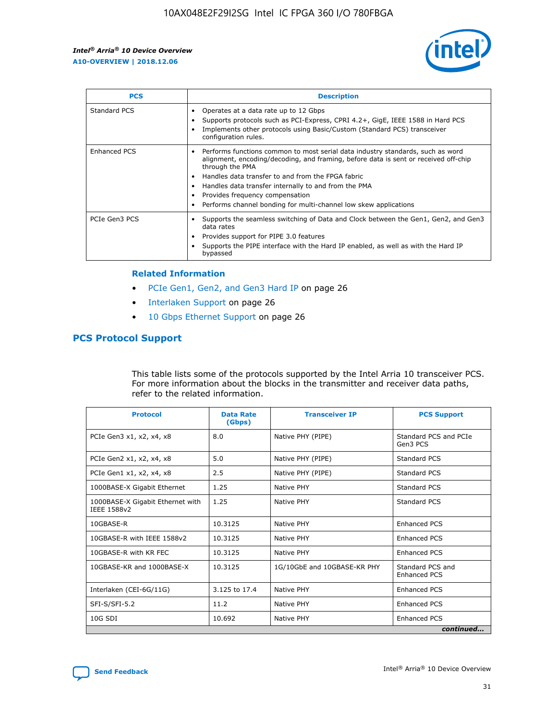

| <b>PCS</b>          | <b>Description</b>                                                                                                                                                                                                                                                                                                                                                                                             |
|---------------------|----------------------------------------------------------------------------------------------------------------------------------------------------------------------------------------------------------------------------------------------------------------------------------------------------------------------------------------------------------------------------------------------------------------|
| Standard PCS        | Operates at a data rate up to 12 Gbps<br>Supports protocols such as PCI-Express, CPRI 4.2+, GigE, IEEE 1588 in Hard PCS<br>Implements other protocols using Basic/Custom (Standard PCS) transceiver<br>configuration rules.                                                                                                                                                                                    |
| <b>Enhanced PCS</b> | Performs functions common to most serial data industry standards, such as word<br>alignment, encoding/decoding, and framing, before data is sent or received off-chip<br>through the PMA<br>• Handles data transfer to and from the FPGA fabric<br>Handles data transfer internally to and from the PMA<br>Provides frequency compensation<br>Performs channel bonding for multi-channel low skew applications |
| PCIe Gen3 PCS       | Supports the seamless switching of Data and Clock between the Gen1, Gen2, and Gen3<br>data rates<br>Provides support for PIPE 3.0 features<br>Supports the PIPE interface with the Hard IP enabled, as well as with the Hard IP<br>bypassed                                                                                                                                                                    |

#### **Related Information**

- PCIe Gen1, Gen2, and Gen3 Hard IP on page 26
- Interlaken Support on page 26
- 10 Gbps Ethernet Support on page 26

# **PCS Protocol Support**

This table lists some of the protocols supported by the Intel Arria 10 transceiver PCS. For more information about the blocks in the transmitter and receiver data paths, refer to the related information.

| <b>Protocol</b>                                 | <b>Data Rate</b><br>(Gbps) | <b>Transceiver IP</b>       | <b>PCS Support</b>                      |
|-------------------------------------------------|----------------------------|-----------------------------|-----------------------------------------|
| PCIe Gen3 x1, x2, x4, x8                        | 8.0                        | Native PHY (PIPE)           | Standard PCS and PCIe<br>Gen3 PCS       |
| PCIe Gen2 x1, x2, x4, x8                        | 5.0                        | Native PHY (PIPE)           | <b>Standard PCS</b>                     |
| PCIe Gen1 x1, x2, x4, x8                        | 2.5                        | Native PHY (PIPE)           | Standard PCS                            |
| 1000BASE-X Gigabit Ethernet                     | 1.25                       | Native PHY                  | <b>Standard PCS</b>                     |
| 1000BASE-X Gigabit Ethernet with<br>IEEE 1588v2 | 1.25                       | Native PHY                  | Standard PCS                            |
| 10GBASE-R                                       | 10.3125                    | Native PHY                  | <b>Enhanced PCS</b>                     |
| 10GBASE-R with IEEE 1588v2                      | 10.3125                    | Native PHY                  | <b>Enhanced PCS</b>                     |
| 10GBASE-R with KR FEC                           | 10.3125                    | Native PHY                  | <b>Enhanced PCS</b>                     |
| 10GBASE-KR and 1000BASE-X                       | 10.3125                    | 1G/10GbE and 10GBASE-KR PHY | Standard PCS and<br><b>Enhanced PCS</b> |
| Interlaken (CEI-6G/11G)                         | 3.125 to 17.4              | Native PHY                  | <b>Enhanced PCS</b>                     |
| SFI-S/SFI-5.2                                   | 11.2                       | Native PHY                  | <b>Enhanced PCS</b>                     |
| $10G$ SDI                                       | 10.692                     | Native PHY                  | <b>Enhanced PCS</b>                     |
|                                                 |                            |                             | continued                               |

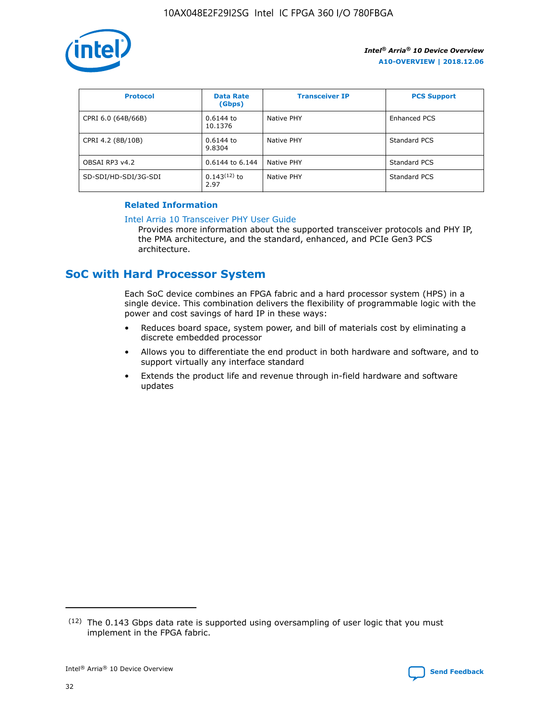

| <b>Protocol</b>      | <b>Data Rate</b><br>(Gbps) | <b>Transceiver IP</b> | <b>PCS Support</b> |
|----------------------|----------------------------|-----------------------|--------------------|
| CPRI 6.0 (64B/66B)   | $0.6144$ to<br>10.1376     | Native PHY            | Enhanced PCS       |
| CPRI 4.2 (8B/10B)    | 0.6144 to<br>9.8304        | Native PHY            | Standard PCS       |
| OBSAI RP3 v4.2       | 0.6144 to 6.144            | Native PHY            | Standard PCS       |
| SD-SDI/HD-SDI/3G-SDI | $0.143(12)$ to<br>2.97     | Native PHY            | Standard PCS       |

# **Related Information**

#### [Intel Arria 10 Transceiver PHY User Guide](https://www.intel.com/content/www/us/en/programmable/documentation/nik1398707230472.html#nik1398707091164)

Provides more information about the supported transceiver protocols and PHY IP, the PMA architecture, and the standard, enhanced, and PCIe Gen3 PCS architecture.

# **SoC with Hard Processor System**

Each SoC device combines an FPGA fabric and a hard processor system (HPS) in a single device. This combination delivers the flexibility of programmable logic with the power and cost savings of hard IP in these ways:

- Reduces board space, system power, and bill of materials cost by eliminating a discrete embedded processor
- Allows you to differentiate the end product in both hardware and software, and to support virtually any interface standard
- Extends the product life and revenue through in-field hardware and software updates

 $(12)$  The 0.143 Gbps data rate is supported using oversampling of user logic that you must implement in the FPGA fabric.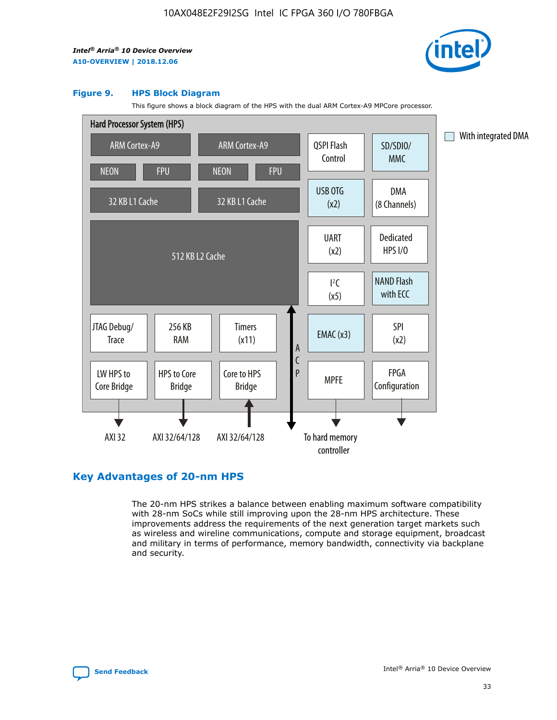

#### **Figure 9. HPS Block Diagram**

This figure shows a block diagram of the HPS with the dual ARM Cortex-A9 MPCore processor.



# **Key Advantages of 20-nm HPS**

The 20-nm HPS strikes a balance between enabling maximum software compatibility with 28-nm SoCs while still improving upon the 28-nm HPS architecture. These improvements address the requirements of the next generation target markets such as wireless and wireline communications, compute and storage equipment, broadcast and military in terms of performance, memory bandwidth, connectivity via backplane and security.

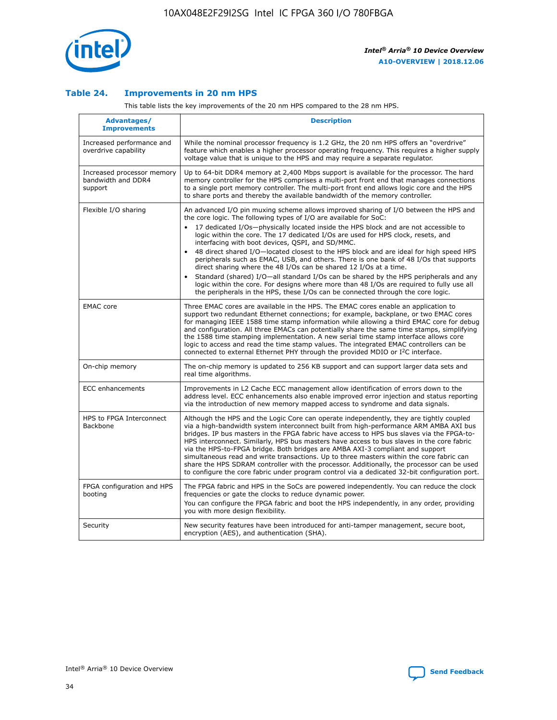

# **Table 24. Improvements in 20 nm HPS**

This table lists the key improvements of the 20 nm HPS compared to the 28 nm HPS.

| Advantages/<br><b>Improvements</b>                          | <b>Description</b>                                                                                                                                                                                                                                                                                                                                                                                                                                                                                                                                                                                                                                                                                                                                                                                                                                                                                                                   |
|-------------------------------------------------------------|--------------------------------------------------------------------------------------------------------------------------------------------------------------------------------------------------------------------------------------------------------------------------------------------------------------------------------------------------------------------------------------------------------------------------------------------------------------------------------------------------------------------------------------------------------------------------------------------------------------------------------------------------------------------------------------------------------------------------------------------------------------------------------------------------------------------------------------------------------------------------------------------------------------------------------------|
| Increased performance and<br>overdrive capability           | While the nominal processor frequency is 1.2 GHz, the 20 nm HPS offers an "overdrive"<br>feature which enables a higher processor operating frequency. This requires a higher supply<br>voltage value that is unique to the HPS and may require a separate regulator.                                                                                                                                                                                                                                                                                                                                                                                                                                                                                                                                                                                                                                                                |
| Increased processor memory<br>bandwidth and DDR4<br>support | Up to 64-bit DDR4 memory at 2,400 Mbps support is available for the processor. The hard<br>memory controller for the HPS comprises a multi-port front end that manages connections<br>to a single port memory controller. The multi-port front end allows logic core and the HPS<br>to share ports and thereby the available bandwidth of the memory controller.                                                                                                                                                                                                                                                                                                                                                                                                                                                                                                                                                                     |
| Flexible I/O sharing                                        | An advanced I/O pin muxing scheme allows improved sharing of I/O between the HPS and<br>the core logic. The following types of I/O are available for SoC:<br>17 dedicated I/Os-physically located inside the HPS block and are not accessible to<br>logic within the core. The 17 dedicated I/Os are used for HPS clock, resets, and<br>interfacing with boot devices, QSPI, and SD/MMC.<br>48 direct shared I/O-located closest to the HPS block and are ideal for high speed HPS<br>peripherals such as EMAC, USB, and others. There is one bank of 48 I/Os that supports<br>direct sharing where the 48 I/Os can be shared 12 I/Os at a time.<br>Standard (shared) I/O-all standard I/Os can be shared by the HPS peripherals and any<br>$\bullet$<br>logic within the core. For designs where more than 48 I/Os are required to fully use all<br>the peripherals in the HPS, these I/Os can be connected through the core logic. |
| <b>EMAC</b> core                                            | Three EMAC cores are available in the HPS. The EMAC cores enable an application to<br>support two redundant Ethernet connections; for example, backplane, or two EMAC cores<br>for managing IEEE 1588 time stamp information while allowing a third EMAC core for debug<br>and configuration. All three EMACs can potentially share the same time stamps, simplifying<br>the 1588 time stamping implementation. A new serial time stamp interface allows core<br>logic to access and read the time stamp values. The integrated EMAC controllers can be<br>connected to external Ethernet PHY through the provided MDIO or I <sup>2</sup> C interface.                                                                                                                                                                                                                                                                               |
| On-chip memory                                              | The on-chip memory is updated to 256 KB support and can support larger data sets and<br>real time algorithms.                                                                                                                                                                                                                                                                                                                                                                                                                                                                                                                                                                                                                                                                                                                                                                                                                        |
| <b>ECC</b> enhancements                                     | Improvements in L2 Cache ECC management allow identification of errors down to the<br>address level. ECC enhancements also enable improved error injection and status reporting<br>via the introduction of new memory mapped access to syndrome and data signals.                                                                                                                                                                                                                                                                                                                                                                                                                                                                                                                                                                                                                                                                    |
| HPS to FPGA Interconnect<br>Backbone                        | Although the HPS and the Logic Core can operate independently, they are tightly coupled<br>via a high-bandwidth system interconnect built from high-performance ARM AMBA AXI bus<br>bridges. IP bus masters in the FPGA fabric have access to HPS bus slaves via the FPGA-to-<br>HPS interconnect. Similarly, HPS bus masters have access to bus slaves in the core fabric<br>via the HPS-to-FPGA bridge. Both bridges are AMBA AXI-3 compliant and support<br>simultaneous read and write transactions. Up to three masters within the core fabric can<br>share the HPS SDRAM controller with the processor. Additionally, the processor can be used<br>to configure the core fabric under program control via a dedicated 32-bit configuration port.                                                                                                                                                                               |
| FPGA configuration and HPS<br>booting                       | The FPGA fabric and HPS in the SoCs are powered independently. You can reduce the clock<br>frequencies or gate the clocks to reduce dynamic power.<br>You can configure the FPGA fabric and boot the HPS independently, in any order, providing<br>you with more design flexibility.                                                                                                                                                                                                                                                                                                                                                                                                                                                                                                                                                                                                                                                 |
| Security                                                    | New security features have been introduced for anti-tamper management, secure boot,<br>encryption (AES), and authentication (SHA).                                                                                                                                                                                                                                                                                                                                                                                                                                                                                                                                                                                                                                                                                                                                                                                                   |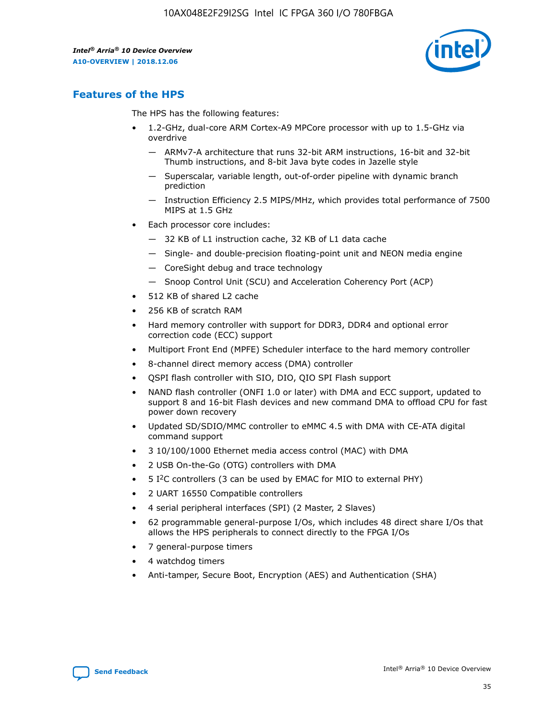

# **Features of the HPS**

The HPS has the following features:

- 1.2-GHz, dual-core ARM Cortex-A9 MPCore processor with up to 1.5-GHz via overdrive
	- ARMv7-A architecture that runs 32-bit ARM instructions, 16-bit and 32-bit Thumb instructions, and 8-bit Java byte codes in Jazelle style
	- Superscalar, variable length, out-of-order pipeline with dynamic branch prediction
	- Instruction Efficiency 2.5 MIPS/MHz, which provides total performance of 7500 MIPS at 1.5 GHz
- Each processor core includes:
	- 32 KB of L1 instruction cache, 32 KB of L1 data cache
	- Single- and double-precision floating-point unit and NEON media engine
	- CoreSight debug and trace technology
	- Snoop Control Unit (SCU) and Acceleration Coherency Port (ACP)
- 512 KB of shared L2 cache
- 256 KB of scratch RAM
- Hard memory controller with support for DDR3, DDR4 and optional error correction code (ECC) support
- Multiport Front End (MPFE) Scheduler interface to the hard memory controller
- 8-channel direct memory access (DMA) controller
- QSPI flash controller with SIO, DIO, QIO SPI Flash support
- NAND flash controller (ONFI 1.0 or later) with DMA and ECC support, updated to support 8 and 16-bit Flash devices and new command DMA to offload CPU for fast power down recovery
- Updated SD/SDIO/MMC controller to eMMC 4.5 with DMA with CE-ATA digital command support
- 3 10/100/1000 Ethernet media access control (MAC) with DMA
- 2 USB On-the-Go (OTG) controllers with DMA
- $\bullet$  5 I<sup>2</sup>C controllers (3 can be used by EMAC for MIO to external PHY)
- 2 UART 16550 Compatible controllers
- 4 serial peripheral interfaces (SPI) (2 Master, 2 Slaves)
- 62 programmable general-purpose I/Os, which includes 48 direct share I/Os that allows the HPS peripherals to connect directly to the FPGA I/Os
- 7 general-purpose timers
- 4 watchdog timers
- Anti-tamper, Secure Boot, Encryption (AES) and Authentication (SHA)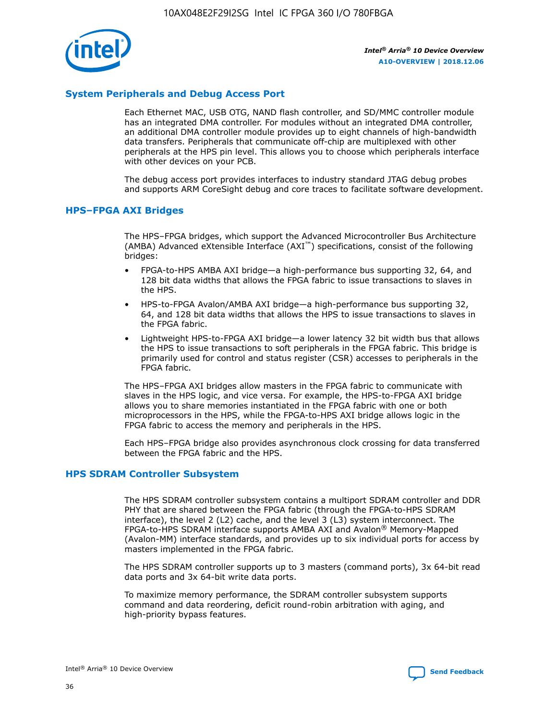

# **System Peripherals and Debug Access Port**

Each Ethernet MAC, USB OTG, NAND flash controller, and SD/MMC controller module has an integrated DMA controller. For modules without an integrated DMA controller, an additional DMA controller module provides up to eight channels of high-bandwidth data transfers. Peripherals that communicate off-chip are multiplexed with other peripherals at the HPS pin level. This allows you to choose which peripherals interface with other devices on your PCB.

The debug access port provides interfaces to industry standard JTAG debug probes and supports ARM CoreSight debug and core traces to facilitate software development.

# **HPS–FPGA AXI Bridges**

The HPS–FPGA bridges, which support the Advanced Microcontroller Bus Architecture (AMBA) Advanced eXtensible Interface (AXI™) specifications, consist of the following bridges:

- FPGA-to-HPS AMBA AXI bridge—a high-performance bus supporting 32, 64, and 128 bit data widths that allows the FPGA fabric to issue transactions to slaves in the HPS.
- HPS-to-FPGA Avalon/AMBA AXI bridge—a high-performance bus supporting 32, 64, and 128 bit data widths that allows the HPS to issue transactions to slaves in the FPGA fabric.
- Lightweight HPS-to-FPGA AXI bridge—a lower latency 32 bit width bus that allows the HPS to issue transactions to soft peripherals in the FPGA fabric. This bridge is primarily used for control and status register (CSR) accesses to peripherals in the FPGA fabric.

The HPS–FPGA AXI bridges allow masters in the FPGA fabric to communicate with slaves in the HPS logic, and vice versa. For example, the HPS-to-FPGA AXI bridge allows you to share memories instantiated in the FPGA fabric with one or both microprocessors in the HPS, while the FPGA-to-HPS AXI bridge allows logic in the FPGA fabric to access the memory and peripherals in the HPS.

Each HPS–FPGA bridge also provides asynchronous clock crossing for data transferred between the FPGA fabric and the HPS.

## **HPS SDRAM Controller Subsystem**

The HPS SDRAM controller subsystem contains a multiport SDRAM controller and DDR PHY that are shared between the FPGA fabric (through the FPGA-to-HPS SDRAM interface), the level 2 (L2) cache, and the level 3 (L3) system interconnect. The FPGA-to-HPS SDRAM interface supports AMBA AXI and Avalon® Memory-Mapped (Avalon-MM) interface standards, and provides up to six individual ports for access by masters implemented in the FPGA fabric.

The HPS SDRAM controller supports up to 3 masters (command ports), 3x 64-bit read data ports and 3x 64-bit write data ports.

To maximize memory performance, the SDRAM controller subsystem supports command and data reordering, deficit round-robin arbitration with aging, and high-priority bypass features.

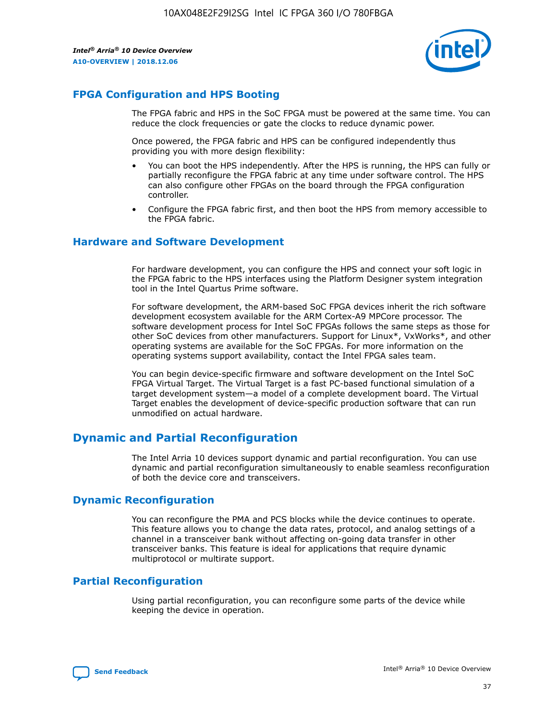

# **FPGA Configuration and HPS Booting**

The FPGA fabric and HPS in the SoC FPGA must be powered at the same time. You can reduce the clock frequencies or gate the clocks to reduce dynamic power.

Once powered, the FPGA fabric and HPS can be configured independently thus providing you with more design flexibility:

- You can boot the HPS independently. After the HPS is running, the HPS can fully or partially reconfigure the FPGA fabric at any time under software control. The HPS can also configure other FPGAs on the board through the FPGA configuration controller.
- Configure the FPGA fabric first, and then boot the HPS from memory accessible to the FPGA fabric.

# **Hardware and Software Development**

For hardware development, you can configure the HPS and connect your soft logic in the FPGA fabric to the HPS interfaces using the Platform Designer system integration tool in the Intel Quartus Prime software.

For software development, the ARM-based SoC FPGA devices inherit the rich software development ecosystem available for the ARM Cortex-A9 MPCore processor. The software development process for Intel SoC FPGAs follows the same steps as those for other SoC devices from other manufacturers. Support for Linux\*, VxWorks\*, and other operating systems are available for the SoC FPGAs. For more information on the operating systems support availability, contact the Intel FPGA sales team.

You can begin device-specific firmware and software development on the Intel SoC FPGA Virtual Target. The Virtual Target is a fast PC-based functional simulation of a target development system—a model of a complete development board. The Virtual Target enables the development of device-specific production software that can run unmodified on actual hardware.

# **Dynamic and Partial Reconfiguration**

The Intel Arria 10 devices support dynamic and partial reconfiguration. You can use dynamic and partial reconfiguration simultaneously to enable seamless reconfiguration of both the device core and transceivers.

# **Dynamic Reconfiguration**

You can reconfigure the PMA and PCS blocks while the device continues to operate. This feature allows you to change the data rates, protocol, and analog settings of a channel in a transceiver bank without affecting on-going data transfer in other transceiver banks. This feature is ideal for applications that require dynamic multiprotocol or multirate support.

# **Partial Reconfiguration**

Using partial reconfiguration, you can reconfigure some parts of the device while keeping the device in operation.

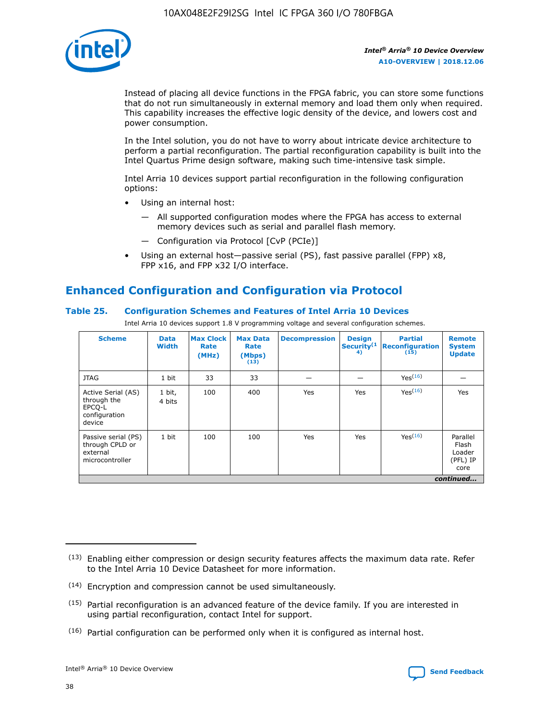

Instead of placing all device functions in the FPGA fabric, you can store some functions that do not run simultaneously in external memory and load them only when required. This capability increases the effective logic density of the device, and lowers cost and power consumption.

In the Intel solution, you do not have to worry about intricate device architecture to perform a partial reconfiguration. The partial reconfiguration capability is built into the Intel Quartus Prime design software, making such time-intensive task simple.

Intel Arria 10 devices support partial reconfiguration in the following configuration options:

- Using an internal host:
	- All supported configuration modes where the FPGA has access to external memory devices such as serial and parallel flash memory.
	- Configuration via Protocol [CvP (PCIe)]
- Using an external host—passive serial (PS), fast passive parallel (FPP) x8, FPP x16, and FPP x32 I/O interface.

# **Enhanced Configuration and Configuration via Protocol**

# **Table 25. Configuration Schemes and Features of Intel Arria 10 Devices**

Intel Arria 10 devices support 1.8 V programming voltage and several configuration schemes.

| <b>Scheme</b>                                                          | <b>Data</b><br><b>Width</b> | <b>Max Clock</b><br>Rate<br>(MHz) | <b>Max Data</b><br>Rate<br>(Mbps)<br>(13) | <b>Decompression</b> | <b>Design</b><br>Security <sup>(1</sup><br>4) | <b>Partial</b><br>Reconfiguration<br>(15) | <b>Remote</b><br><b>System</b><br><b>Update</b> |
|------------------------------------------------------------------------|-----------------------------|-----------------------------------|-------------------------------------------|----------------------|-----------------------------------------------|-------------------------------------------|-------------------------------------------------|
| <b>JTAG</b>                                                            | 1 bit                       | 33                                | 33                                        |                      |                                               | Yes <sup>(16)</sup>                       |                                                 |
| Active Serial (AS)<br>through the<br>EPCO-L<br>configuration<br>device | 1 bit,<br>4 bits            | 100                               | 400                                       | Yes                  | Yes                                           | $Y_{PS}(16)$                              | Yes                                             |
| Passive serial (PS)<br>through CPLD or<br>external<br>microcontroller  | 1 bit                       | 100                               | 100                                       | Yes                  | Yes                                           | Yes(16)                                   | Parallel<br>Flash<br>Loader<br>(PFL) IP<br>core |
|                                                                        |                             |                                   |                                           |                      |                                               |                                           | continued                                       |

<sup>(13)</sup> Enabling either compression or design security features affects the maximum data rate. Refer to the Intel Arria 10 Device Datasheet for more information.

<sup>(14)</sup> Encryption and compression cannot be used simultaneously.

 $<sup>(15)</sup>$  Partial reconfiguration is an advanced feature of the device family. If you are interested in</sup> using partial reconfiguration, contact Intel for support.

 $(16)$  Partial configuration can be performed only when it is configured as internal host.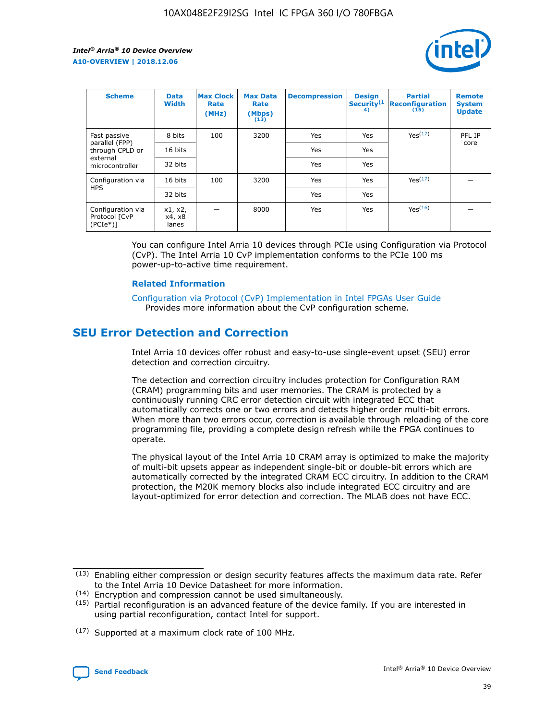

| <b>Scheme</b>                                   | <b>Data</b><br><b>Width</b> | <b>Max Clock</b><br>Rate<br>(MHz) | <b>Max Data</b><br>Rate<br>(Mbps)<br>(13) | <b>Decompression</b> | <b>Design</b><br>Security <sup>(1</sup><br>4) | <b>Partial</b><br><b>Reconfiguration</b><br>(15) | <b>Remote</b><br><b>System</b><br><b>Update</b> |
|-------------------------------------------------|-----------------------------|-----------------------------------|-------------------------------------------|----------------------|-----------------------------------------------|--------------------------------------------------|-------------------------------------------------|
| Fast passive                                    | 8 bits                      | 100                               | 3200                                      | Yes                  | Yes                                           | Yes(17)                                          | PFL IP                                          |
| parallel (FPP)<br>through CPLD or               | 16 bits                     |                                   |                                           | Yes                  | Yes                                           |                                                  | core                                            |
| external<br>microcontroller                     | 32 bits                     |                                   |                                           | Yes                  | Yes                                           |                                                  |                                                 |
| Configuration via                               | 16 bits                     | 100                               | 3200                                      | Yes                  | Yes                                           | Yes <sup>(17)</sup>                              |                                                 |
| <b>HPS</b>                                      | 32 bits                     |                                   |                                           | Yes                  | Yes                                           |                                                  |                                                 |
| Configuration via<br>Protocol [CvP<br>$(PCIe*)$ | x1, x2,<br>x4, x8<br>lanes  |                                   | 8000                                      | Yes                  | Yes                                           | Yes <sup>(16)</sup>                              |                                                 |

You can configure Intel Arria 10 devices through PCIe using Configuration via Protocol (CvP). The Intel Arria 10 CvP implementation conforms to the PCIe 100 ms power-up-to-active time requirement.

#### **Related Information**

[Configuration via Protocol \(CvP\) Implementation in Intel FPGAs User Guide](https://www.intel.com/content/www/us/en/programmable/documentation/dsu1441819344145.html#dsu1442269728522) Provides more information about the CvP configuration scheme.

# **SEU Error Detection and Correction**

Intel Arria 10 devices offer robust and easy-to-use single-event upset (SEU) error detection and correction circuitry.

The detection and correction circuitry includes protection for Configuration RAM (CRAM) programming bits and user memories. The CRAM is protected by a continuously running CRC error detection circuit with integrated ECC that automatically corrects one or two errors and detects higher order multi-bit errors. When more than two errors occur, correction is available through reloading of the core programming file, providing a complete design refresh while the FPGA continues to operate.

The physical layout of the Intel Arria 10 CRAM array is optimized to make the majority of multi-bit upsets appear as independent single-bit or double-bit errors which are automatically corrected by the integrated CRAM ECC circuitry. In addition to the CRAM protection, the M20K memory blocks also include integrated ECC circuitry and are layout-optimized for error detection and correction. The MLAB does not have ECC.

(14) Encryption and compression cannot be used simultaneously.

<sup>(17)</sup> Supported at a maximum clock rate of 100 MHz.



 $(13)$  Enabling either compression or design security features affects the maximum data rate. Refer to the Intel Arria 10 Device Datasheet for more information.

 $(15)$  Partial reconfiguration is an advanced feature of the device family. If you are interested in using partial reconfiguration, contact Intel for support.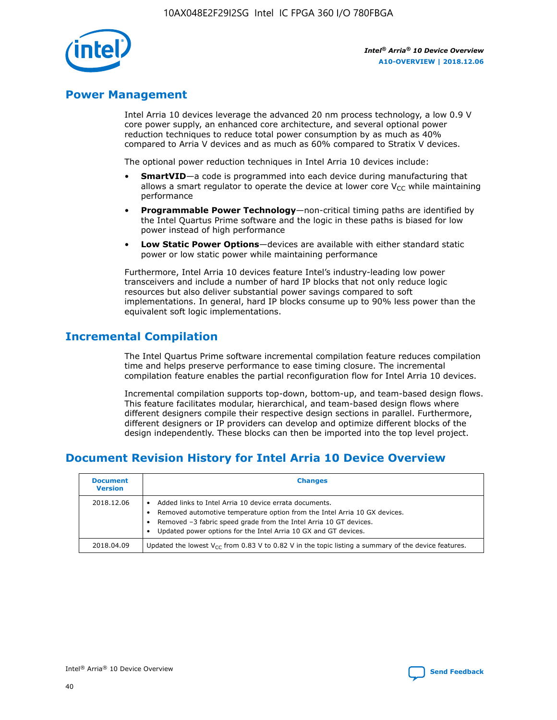

# **Power Management**

Intel Arria 10 devices leverage the advanced 20 nm process technology, a low 0.9 V core power supply, an enhanced core architecture, and several optional power reduction techniques to reduce total power consumption by as much as 40% compared to Arria V devices and as much as 60% compared to Stratix V devices.

The optional power reduction techniques in Intel Arria 10 devices include:

- **SmartVID**—a code is programmed into each device during manufacturing that allows a smart regulator to operate the device at lower core  $V_{CC}$  while maintaining performance
- **Programmable Power Technology**—non-critical timing paths are identified by the Intel Quartus Prime software and the logic in these paths is biased for low power instead of high performance
- **Low Static Power Options**—devices are available with either standard static power or low static power while maintaining performance

Furthermore, Intel Arria 10 devices feature Intel's industry-leading low power transceivers and include a number of hard IP blocks that not only reduce logic resources but also deliver substantial power savings compared to soft implementations. In general, hard IP blocks consume up to 90% less power than the equivalent soft logic implementations.

# **Incremental Compilation**

The Intel Quartus Prime software incremental compilation feature reduces compilation time and helps preserve performance to ease timing closure. The incremental compilation feature enables the partial reconfiguration flow for Intel Arria 10 devices.

Incremental compilation supports top-down, bottom-up, and team-based design flows. This feature facilitates modular, hierarchical, and team-based design flows where different designers compile their respective design sections in parallel. Furthermore, different designers or IP providers can develop and optimize different blocks of the design independently. These blocks can then be imported into the top level project.

# **Document Revision History for Intel Arria 10 Device Overview**

| <b>Document</b><br><b>Version</b> | <b>Changes</b>                                                                                                                                                                                                                                                              |
|-----------------------------------|-----------------------------------------------------------------------------------------------------------------------------------------------------------------------------------------------------------------------------------------------------------------------------|
| 2018.12.06                        | Added links to Intel Arria 10 device errata documents.<br>Removed automotive temperature option from the Intel Arria 10 GX devices.<br>Removed -3 fabric speed grade from the Intel Arria 10 GT devices.<br>Updated power options for the Intel Arria 10 GX and GT devices. |
| 2018.04.09                        | Updated the lowest $V_{CC}$ from 0.83 V to 0.82 V in the topic listing a summary of the device features.                                                                                                                                                                    |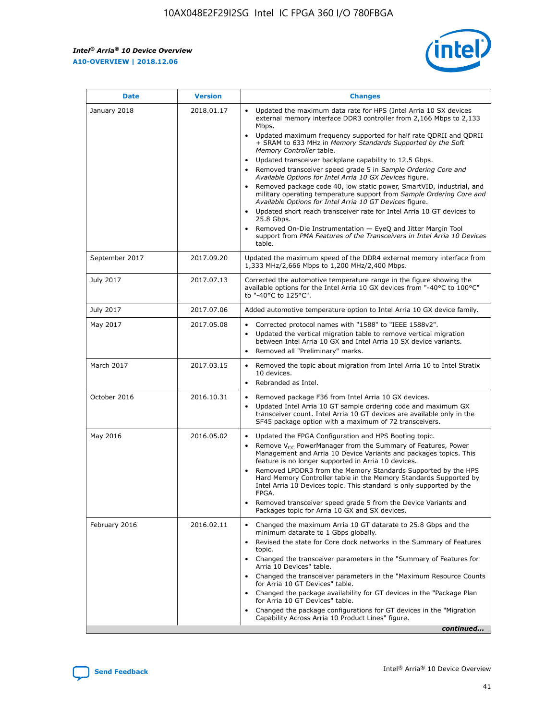$\overline{\phantom{a}}$ 

 $\mathsf{r}$ 



| January 2018<br>Updated the maximum data rate for HPS (Intel Arria 10 SX devices<br>2018.01.17<br>external memory interface DDR3 controller from 2,166 Mbps to 2,133<br>Mbps.<br>$\bullet$<br>+ SRAM to 633 MHz in Memory Standards Supported by the Soft<br>Memory Controller table.<br>Updated transceiver backplane capability to 12.5 Gbps.<br>$\bullet$<br>Removed transceiver speed grade 5 in Sample Ordering Core and<br>Available Options for Intel Arria 10 GX Devices figure.<br>Available Options for Intel Arria 10 GT Devices figure.<br>Updated short reach transceiver rate for Intel Arria 10 GT devices to<br>$\bullet$<br>25.8 Gbps.<br>Removed On-Die Instrumentation - EyeQ and Jitter Margin Tool<br>table.<br>2017.09.20<br>September 2017<br>1,333 MHz/2,666 Mbps to 1,200 MHz/2,400 Mbps.<br>July 2017<br>2017.07.13<br>Corrected the automotive temperature range in the figure showing the<br>available options for the Intel Arria 10 GX devices from "-40°C to 100°C"<br>to "-40°C to 125°C".<br>July 2017<br>2017.07.06<br>Added automotive temperature option to Intel Arria 10 GX device family.<br>2017.05.08<br>Corrected protocol names with "1588" to "IEEE 1588v2".<br>May 2017<br>$\bullet$<br>Updated the vertical migration table to remove vertical migration<br>$\bullet$<br>between Intel Arria 10 GX and Intel Arria 10 SX device variants.<br>Removed all "Preliminary" marks.<br>2017.03.15<br>March 2017<br>Removed the topic about migration from Intel Arria 10 to Intel Stratix<br>10 devices.<br>Rebranded as Intel.<br>$\bullet$<br>October 2016<br>2016.10.31<br>Removed package F36 from Intel Arria 10 GX devices.<br>$\bullet$<br>Updated Intel Arria 10 GT sample ordering code and maximum GX<br>$\bullet$<br>transceiver count. Intel Arria 10 GT devices are available only in the<br>SF45 package option with a maximum of 72 transceivers.<br>May 2016<br>2016.05.02<br>Updated the FPGA Configuration and HPS Booting topic.<br>Remove $V_{CC}$ PowerManager from the Summary of Features, Power<br>Management and Arria 10 Device Variants and packages topics. This<br>feature is no longer supported in Arria 10 devices.<br>Removed LPDDR3 from the Memory Standards Supported by the HPS<br>Hard Memory Controller table in the Memory Standards Supported by<br>Intel Arria 10 Devices topic. This standard is only supported by the<br>FPGA.<br>Removed transceiver speed grade 5 from the Device Variants and<br>Packages topic for Arria 10 GX and SX devices.<br>Changed the maximum Arria 10 GT datarate to 25.8 Gbps and the<br>February 2016<br>2016.02.11<br>minimum datarate to 1 Gbps globally.<br>Revised the state for Core clock networks in the Summary of Features<br>$\bullet$<br>topic.<br>• Changed the transceiver parameters in the "Summary of Features for<br>Arria 10 Devices" table.<br>for Arria 10 GT Devices" table.<br>• Changed the package availability for GT devices in the "Package Plan<br>for Arria 10 GT Devices" table.<br>Changed the package configurations for GT devices in the "Migration"<br>Capability Across Arria 10 Product Lines" figure. | <b>Date</b> | <b>Version</b> | <b>Changes</b>                                                                                                                                                                                                                                                                               |
|----------------------------------------------------------------------------------------------------------------------------------------------------------------------------------------------------------------------------------------------------------------------------------------------------------------------------------------------------------------------------------------------------------------------------------------------------------------------------------------------------------------------------------------------------------------------------------------------------------------------------------------------------------------------------------------------------------------------------------------------------------------------------------------------------------------------------------------------------------------------------------------------------------------------------------------------------------------------------------------------------------------------------------------------------------------------------------------------------------------------------------------------------------------------------------------------------------------------------------------------------------------------------------------------------------------------------------------------------------------------------------------------------------------------------------------------------------------------------------------------------------------------------------------------------------------------------------------------------------------------------------------------------------------------------------------------------------------------------------------------------------------------------------------------------------------------------------------------------------------------------------------------------------------------------------------------------------------------------------------------------------------------------------------------------------------------------------------------------------------------------------------------------------------------------------------------------------------------------------------------------------------------------------------------------------------------------------------------------------------------------------------------------------------------------------------------------------------------------------------------------------------------------------------------------------------------------------------------------------------------------------------------------------------------------------------------------------------------------------------------------------------------------------------------------------------------------------------------------------------------------------------------------------------------------------------------------------------------------------------------------------------------------------------------------------------------------------------------------------------------------------------------------------------|-------------|----------------|----------------------------------------------------------------------------------------------------------------------------------------------------------------------------------------------------------------------------------------------------------------------------------------------|
|                                                                                                                                                                                                                                                                                                                                                                                                                                                                                                                                                                                                                                                                                                                                                                                                                                                                                                                                                                                                                                                                                                                                                                                                                                                                                                                                                                                                                                                                                                                                                                                                                                                                                                                                                                                                                                                                                                                                                                                                                                                                                                                                                                                                                                                                                                                                                                                                                                                                                                                                                                                                                                                                                                                                                                                                                                                                                                                                                                                                                                                                                                                                                                |             |                | Updated maximum frequency supported for half rate QDRII and QDRII<br>Removed package code 40, low static power, SmartVID, industrial, and<br>military operating temperature support from Sample Ordering Core and<br>support from PMA Features of the Transceivers in Intel Arria 10 Devices |
|                                                                                                                                                                                                                                                                                                                                                                                                                                                                                                                                                                                                                                                                                                                                                                                                                                                                                                                                                                                                                                                                                                                                                                                                                                                                                                                                                                                                                                                                                                                                                                                                                                                                                                                                                                                                                                                                                                                                                                                                                                                                                                                                                                                                                                                                                                                                                                                                                                                                                                                                                                                                                                                                                                                                                                                                                                                                                                                                                                                                                                                                                                                                                                |             |                | Updated the maximum speed of the DDR4 external memory interface from                                                                                                                                                                                                                         |
|                                                                                                                                                                                                                                                                                                                                                                                                                                                                                                                                                                                                                                                                                                                                                                                                                                                                                                                                                                                                                                                                                                                                                                                                                                                                                                                                                                                                                                                                                                                                                                                                                                                                                                                                                                                                                                                                                                                                                                                                                                                                                                                                                                                                                                                                                                                                                                                                                                                                                                                                                                                                                                                                                                                                                                                                                                                                                                                                                                                                                                                                                                                                                                |             |                |                                                                                                                                                                                                                                                                                              |
|                                                                                                                                                                                                                                                                                                                                                                                                                                                                                                                                                                                                                                                                                                                                                                                                                                                                                                                                                                                                                                                                                                                                                                                                                                                                                                                                                                                                                                                                                                                                                                                                                                                                                                                                                                                                                                                                                                                                                                                                                                                                                                                                                                                                                                                                                                                                                                                                                                                                                                                                                                                                                                                                                                                                                                                                                                                                                                                                                                                                                                                                                                                                                                |             |                |                                                                                                                                                                                                                                                                                              |
|                                                                                                                                                                                                                                                                                                                                                                                                                                                                                                                                                                                                                                                                                                                                                                                                                                                                                                                                                                                                                                                                                                                                                                                                                                                                                                                                                                                                                                                                                                                                                                                                                                                                                                                                                                                                                                                                                                                                                                                                                                                                                                                                                                                                                                                                                                                                                                                                                                                                                                                                                                                                                                                                                                                                                                                                                                                                                                                                                                                                                                                                                                                                                                |             |                |                                                                                                                                                                                                                                                                                              |
|                                                                                                                                                                                                                                                                                                                                                                                                                                                                                                                                                                                                                                                                                                                                                                                                                                                                                                                                                                                                                                                                                                                                                                                                                                                                                                                                                                                                                                                                                                                                                                                                                                                                                                                                                                                                                                                                                                                                                                                                                                                                                                                                                                                                                                                                                                                                                                                                                                                                                                                                                                                                                                                                                                                                                                                                                                                                                                                                                                                                                                                                                                                                                                |             |                |                                                                                                                                                                                                                                                                                              |
|                                                                                                                                                                                                                                                                                                                                                                                                                                                                                                                                                                                                                                                                                                                                                                                                                                                                                                                                                                                                                                                                                                                                                                                                                                                                                                                                                                                                                                                                                                                                                                                                                                                                                                                                                                                                                                                                                                                                                                                                                                                                                                                                                                                                                                                                                                                                                                                                                                                                                                                                                                                                                                                                                                                                                                                                                                                                                                                                                                                                                                                                                                                                                                |             |                |                                                                                                                                                                                                                                                                                              |
|                                                                                                                                                                                                                                                                                                                                                                                                                                                                                                                                                                                                                                                                                                                                                                                                                                                                                                                                                                                                                                                                                                                                                                                                                                                                                                                                                                                                                                                                                                                                                                                                                                                                                                                                                                                                                                                                                                                                                                                                                                                                                                                                                                                                                                                                                                                                                                                                                                                                                                                                                                                                                                                                                                                                                                                                                                                                                                                                                                                                                                                                                                                                                                |             |                |                                                                                                                                                                                                                                                                                              |
|                                                                                                                                                                                                                                                                                                                                                                                                                                                                                                                                                                                                                                                                                                                                                                                                                                                                                                                                                                                                                                                                                                                                                                                                                                                                                                                                                                                                                                                                                                                                                                                                                                                                                                                                                                                                                                                                                                                                                                                                                                                                                                                                                                                                                                                                                                                                                                                                                                                                                                                                                                                                                                                                                                                                                                                                                                                                                                                                                                                                                                                                                                                                                                |             |                | Changed the transceiver parameters in the "Maximum Resource Counts"<br>continued                                                                                                                                                                                                             |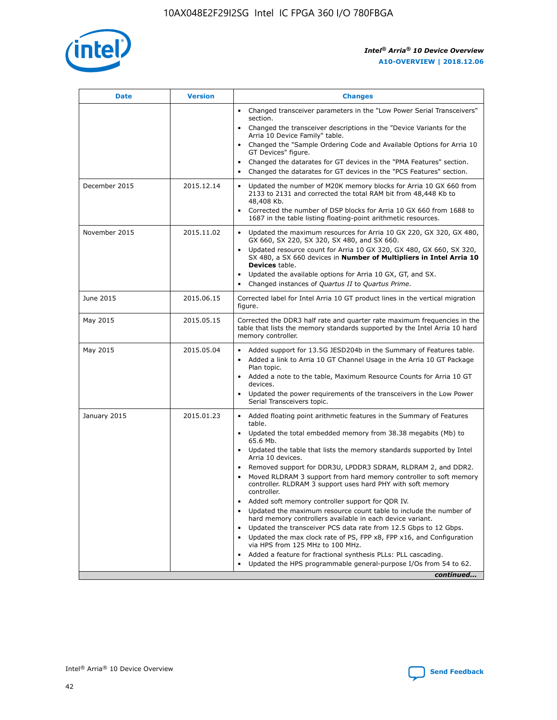

| <b>Date</b>   | <b>Version</b> | <b>Changes</b>                                                                                                                                                               |
|---------------|----------------|------------------------------------------------------------------------------------------------------------------------------------------------------------------------------|
|               |                | • Changed transceiver parameters in the "Low Power Serial Transceivers"<br>section.                                                                                          |
|               |                | Changed the transceiver descriptions in the "Device Variants for the<br>Arria 10 Device Family" table.                                                                       |
|               |                | Changed the "Sample Ordering Code and Available Options for Arria 10<br>GT Devices" figure.                                                                                  |
|               |                | Changed the datarates for GT devices in the "PMA Features" section.                                                                                                          |
|               |                | Changed the datarates for GT devices in the "PCS Features" section.                                                                                                          |
| December 2015 | 2015.12.14     | Updated the number of M20K memory blocks for Arria 10 GX 660 from<br>2133 to 2131 and corrected the total RAM bit from 48,448 Kb to<br>48,408 Kb.                            |
|               |                | Corrected the number of DSP blocks for Arria 10 GX 660 from 1688 to<br>$\bullet$<br>1687 in the table listing floating-point arithmetic resources.                           |
| November 2015 | 2015.11.02     | Updated the maximum resources for Arria 10 GX 220, GX 320, GX 480,<br>GX 660, SX 220, SX 320, SX 480, and SX 660.                                                            |
|               |                | • Updated resource count for Arria 10 GX 320, GX 480, GX 660, SX 320,<br>SX 480, a SX 660 devices in Number of Multipliers in Intel Arria 10<br><b>Devices</b> table.        |
|               |                | Updated the available options for Arria 10 GX, GT, and SX.                                                                                                                   |
|               |                | Changed instances of Quartus II to Quartus Prime.<br>$\bullet$                                                                                                               |
| June 2015     | 2015.06.15     | Corrected label for Intel Arria 10 GT product lines in the vertical migration<br>figure.                                                                                     |
| May 2015      | 2015.05.15     | Corrected the DDR3 half rate and quarter rate maximum frequencies in the<br>table that lists the memory standards supported by the Intel Arria 10 hard<br>memory controller. |
| May 2015      | 2015.05.04     | • Added support for 13.5G JESD204b in the Summary of Features table.<br>Added a link to Arria 10 GT Channel Usage in the Arria 10 GT Package<br>$\bullet$<br>Plan topic.     |
|               |                | • Added a note to the table, Maximum Resource Counts for Arria 10 GT<br>devices.                                                                                             |
|               |                | • Updated the power requirements of the transceivers in the Low Power<br>Serial Transceivers topic.                                                                          |
| January 2015  | 2015.01.23     | • Added floating point arithmetic features in the Summary of Features<br>table.                                                                                              |
|               |                | • Updated the total embedded memory from 38.38 megabits (Mb) to<br>65.6 Mb.                                                                                                  |
|               |                | • Updated the table that lists the memory standards supported by Intel<br>Arria 10 devices.                                                                                  |
|               |                | Removed support for DDR3U, LPDDR3 SDRAM, RLDRAM 2, and DDR2.                                                                                                                 |
|               |                | Moved RLDRAM 3 support from hard memory controller to soft memory<br>controller. RLDRAM 3 support uses hard PHY with soft memory<br>controller.                              |
|               |                | Added soft memory controller support for QDR IV.<br>$\bullet$                                                                                                                |
|               |                | Updated the maximum resource count table to include the number of<br>$\bullet$<br>hard memory controllers available in each device variant.                                  |
|               |                | Updated the transceiver PCS data rate from 12.5 Gbps to 12 Gbps.<br>$\bullet$                                                                                                |
|               |                | Updated the max clock rate of PS, FPP x8, FPP x16, and Configuration<br>via HPS from 125 MHz to 100 MHz.                                                                     |
|               |                | Added a feature for fractional synthesis PLLs: PLL cascading.<br>$\bullet$                                                                                                   |
|               |                | Updated the HPS programmable general-purpose I/Os from 54 to 62.                                                                                                             |
|               |                | continued                                                                                                                                                                    |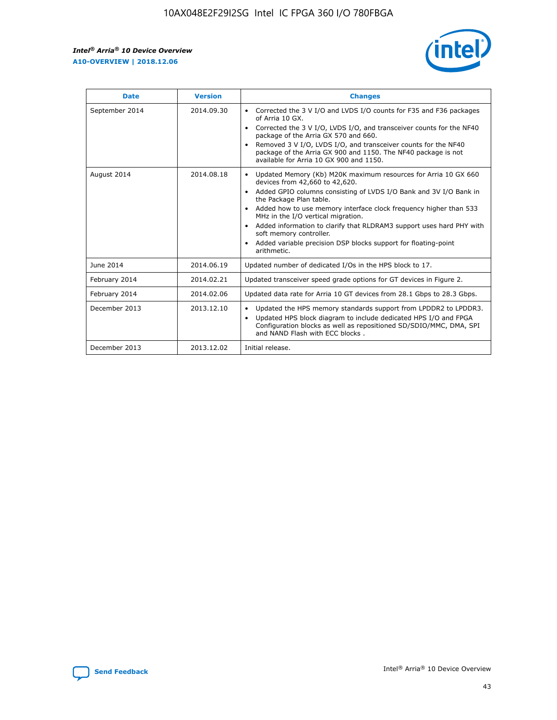r



| <b>Date</b>    | <b>Version</b> | <b>Changes</b>                                                                                                                                                                                                                                                                                                                                                                                                                                                                                                                                      |
|----------------|----------------|-----------------------------------------------------------------------------------------------------------------------------------------------------------------------------------------------------------------------------------------------------------------------------------------------------------------------------------------------------------------------------------------------------------------------------------------------------------------------------------------------------------------------------------------------------|
| September 2014 | 2014.09.30     | Corrected the 3 V I/O and LVDS I/O counts for F35 and F36 packages<br>$\bullet$<br>of Arria 10 GX.<br>Corrected the 3 V I/O, LVDS I/O, and transceiver counts for the NF40<br>$\bullet$<br>package of the Arria GX 570 and 660.<br>Removed 3 V I/O, LVDS I/O, and transceiver counts for the NF40<br>package of the Arria GX 900 and 1150. The NF40 package is not<br>available for Arria 10 GX 900 and 1150.                                                                                                                                       |
| August 2014    | 2014.08.18     | Updated Memory (Kb) M20K maximum resources for Arria 10 GX 660<br>devices from 42,660 to 42,620.<br>Added GPIO columns consisting of LVDS I/O Bank and 3V I/O Bank in<br>$\bullet$<br>the Package Plan table.<br>Added how to use memory interface clock frequency higher than 533<br>$\bullet$<br>MHz in the I/O vertical migration.<br>Added information to clarify that RLDRAM3 support uses hard PHY with<br>$\bullet$<br>soft memory controller.<br>Added variable precision DSP blocks support for floating-point<br>$\bullet$<br>arithmetic. |
| June 2014      | 2014.06.19     | Updated number of dedicated I/Os in the HPS block to 17.                                                                                                                                                                                                                                                                                                                                                                                                                                                                                            |
| February 2014  | 2014.02.21     | Updated transceiver speed grade options for GT devices in Figure 2.                                                                                                                                                                                                                                                                                                                                                                                                                                                                                 |
| February 2014  | 2014.02.06     | Updated data rate for Arria 10 GT devices from 28.1 Gbps to 28.3 Gbps.                                                                                                                                                                                                                                                                                                                                                                                                                                                                              |
| December 2013  | 2013.12.10     | Updated the HPS memory standards support from LPDDR2 to LPDDR3.<br>Updated HPS block diagram to include dedicated HPS I/O and FPGA<br>$\bullet$<br>Configuration blocks as well as repositioned SD/SDIO/MMC, DMA, SPI<br>and NAND Flash with ECC blocks.                                                                                                                                                                                                                                                                                            |
| December 2013  | 2013.12.02     | Initial release.                                                                                                                                                                                                                                                                                                                                                                                                                                                                                                                                    |